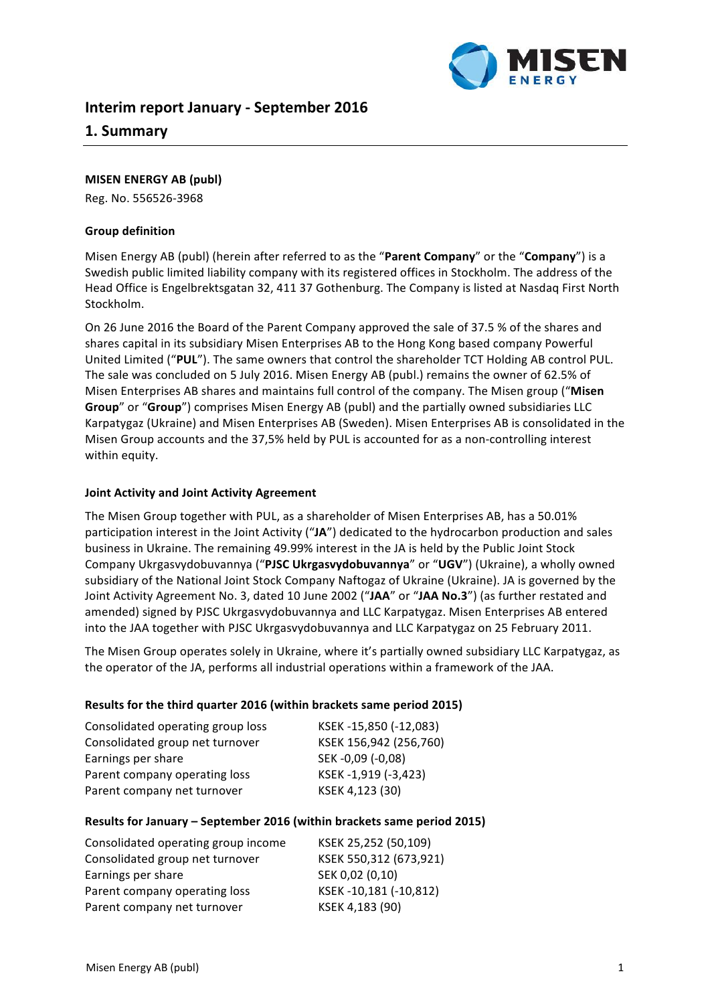

# **Interim report January - September 2016**

# **1. Summary**

#### **MISEN ENERGY AB (publ)**

Reg. No. 556526-3968

### **Group definition**

Misen Energy AB (publ) (herein after referred to as the "**Parent Company**" or the "**Company**") is a Swedish public limited liability company with its registered offices in Stockholm. The address of the Head Office is Engelbrektsgatan 32, 411 37 Gothenburg. The Company is listed at Nasdaq First North Stockholm. 

On 26 June 2016 the Board of the Parent Company approved the sale of 37.5 % of the shares and shares capital in its subsidiary Misen Enterprises AB to the Hong Kong based company Powerful United Limited ("PUL"). The same owners that control the shareholder TCT Holding AB control PUL. The sale was concluded on 5 July 2016. Misen Energy AB (publ.) remains the owner of 62.5% of Misen Enterprises AB shares and maintains full control of the company. The Misen group ("Misen **Group**" or "**Group**") comprises Misen Energy AB (publ) and the partially owned subsidiaries LLC Karpatygaz (Ukraine) and Misen Enterprises AB (Sweden). Misen Enterprises AB is consolidated in the Misen Group accounts and the 37,5% held by PUL is accounted for as a non-controlling interest within equity.

### **Joint Activity and Joint Activity Agreement**

The Misen Group together with PUL, as a shareholder of Misen Enterprises AB, has a 50.01% participation interest in the Joint Activity ("JA") dedicated to the hydrocarbon production and sales business in Ukraine. The remaining 49.99% interest in the JA is held by the Public Joint Stock Company Ukrgasvydobuvannya ("PJSC Ukrgasvydobuvannya" or "UGV") (Ukraine), a wholly owned subsidiary of the National Joint Stock Company Naftogaz of Ukraine (Ukraine). JA is governed by the Joint Activity Agreement No. 3, dated 10 June 2002 ("JAA" or "JAA No.3") (as further restated and amended) signed by PJSC Ukrgasvydobuvannya and LLC Karpatygaz. Misen Enterprises AB entered into the JAA together with PJSC Ukrgasvydobuvannya and LLC Karpatygaz on 25 February 2011.

The Misen Group operates solely in Ukraine, where it's partially owned subsidiary LLC Karpatygaz, as the operator of the JA, performs all industrial operations within a framework of the JAA.

#### **Results for the third quarter 2016 (within brackets same period 2015)**

| Consolidated operating group loss | KSEK-15,850 (-12,083)  |
|-----------------------------------|------------------------|
| Consolidated group net turnover   | KSEK 156,942 (256,760) |
| Earnings per share                | SEK-0,09 (-0,08)       |
| Parent company operating loss     | KSEK-1,919 (-3,423)    |
| Parent company net turnover       | KSEK 4,123 (30)        |

#### **Results for January - September 2016 (within brackets same period 2015)**

| Consolidated operating group income | KSEK 25,252 (50,109)   |
|-------------------------------------|------------------------|
| Consolidated group net turnover     | KSEK 550,312 (673,921) |
| Earnings per share                  | SEK 0,02 (0,10)        |
| Parent company operating loss       | KSEK-10,181 (-10,812)  |
| Parent company net turnover         | KSEK 4,183 (90)        |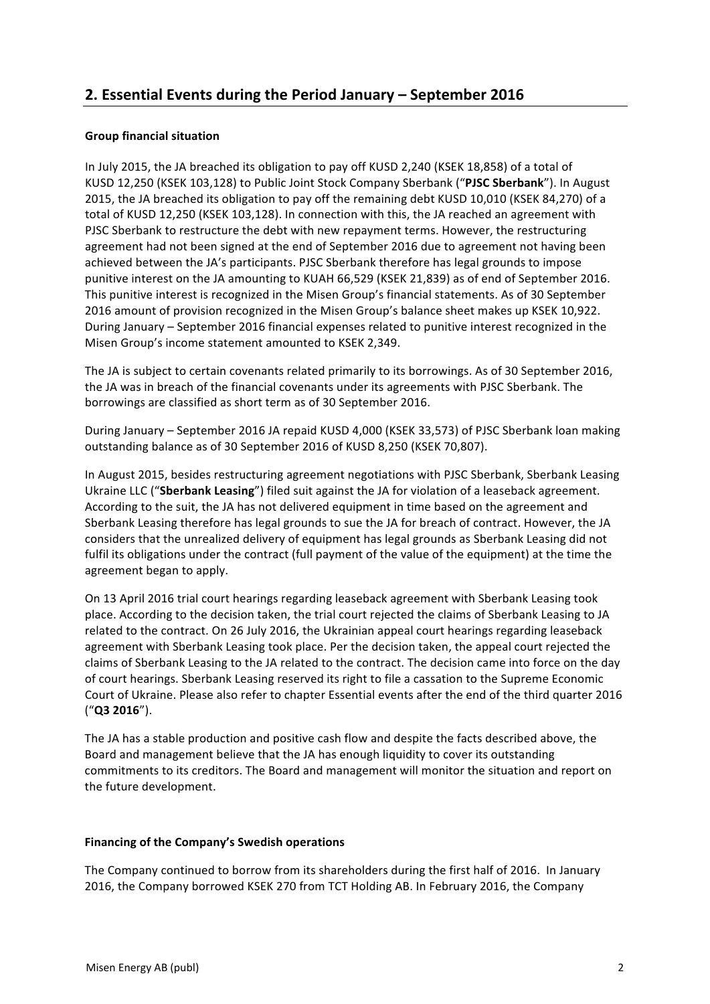# **2. Essential Events during the Period January – September 2016**

# **Group financial situation**

In July 2015, the JA breached its obligation to pay off KUSD 2,240 (KSEK 18,858) of a total of KUSD 12,250 (KSEK 103,128) to Public Joint Stock Company Sberbank ("PJSC Sberbank"). In August 2015, the JA breached its obligation to pay off the remaining debt KUSD 10,010 (KSEK 84,270) of a total of KUSD 12,250 (KSEK 103,128). In connection with this, the JA reached an agreement with PJSC Sberbank to restructure the debt with new repayment terms. However, the restructuring agreement had not been signed at the end of September 2016 due to agreement not having been achieved between the JA's participants. PJSC Sberbank therefore has legal grounds to impose punitive interest on the JA amounting to KUAH 66,529 (KSEK 21,839) as of end of September 2016. This punitive interest is recognized in the Misen Group's financial statements. As of 30 September 2016 amount of provision recognized in the Misen Group's balance sheet makes up KSEK 10,922. During January – September 2016 financial expenses related to punitive interest recognized in the Misen Group's income statement amounted to KSEK 2,349.

The JA is subject to certain covenants related primarily to its borrowings. As of 30 September 2016, the JA was in breach of the financial covenants under its agreements with PJSC Sberbank. The borrowings are classified as short term as of 30 September 2016.

During January – September 2016 JA repaid KUSD 4,000 (KSEK 33,573) of PJSC Sberbank loan making outstanding balance as of 30 September 2016 of KUSD 8,250 (KSEK 70,807).

In August 2015, besides restructuring agreement negotiations with PJSC Sberbank, Sberbank Leasing Ukraine LLC ("Sberbank Leasing") filed suit against the JA for violation of a leaseback agreement. According to the suit, the JA has not delivered equipment in time based on the agreement and Sberbank Leasing therefore has legal grounds to sue the JA for breach of contract. However, the JA considers that the unrealized delivery of equipment has legal grounds as Sberbank Leasing did not fulfil its obligations under the contract (full payment of the value of the equipment) at the time the agreement began to apply.

On 13 April 2016 trial court hearings regarding leaseback agreement with Sberbank Leasing took place. According to the decision taken, the trial court rejected the claims of Sberbank Leasing to JA related to the contract. On 26 July 2016, the Ukrainian appeal court hearings regarding leaseback agreement with Sberbank Leasing took place. Per the decision taken, the appeal court rejected the claims of Sberbank Leasing to the JA related to the contract. The decision came into force on the day of court hearings. Sberbank Leasing reserved its right to file a cassation to the Supreme Economic Court of Ukraine. Please also refer to chapter Essential events after the end of the third quarter 2016 ("**Q3 2016**").

The JA has a stable production and positive cash flow and despite the facts described above, the Board and management believe that the JA has enough liquidity to cover its outstanding commitments to its creditors. The Board and management will monitor the situation and report on the future development.

# **Financing of the Company's Swedish operations**

The Company continued to borrow from its shareholders during the first half of 2016. In January 2016, the Company borrowed KSEK 270 from TCT Holding AB. In February 2016, the Company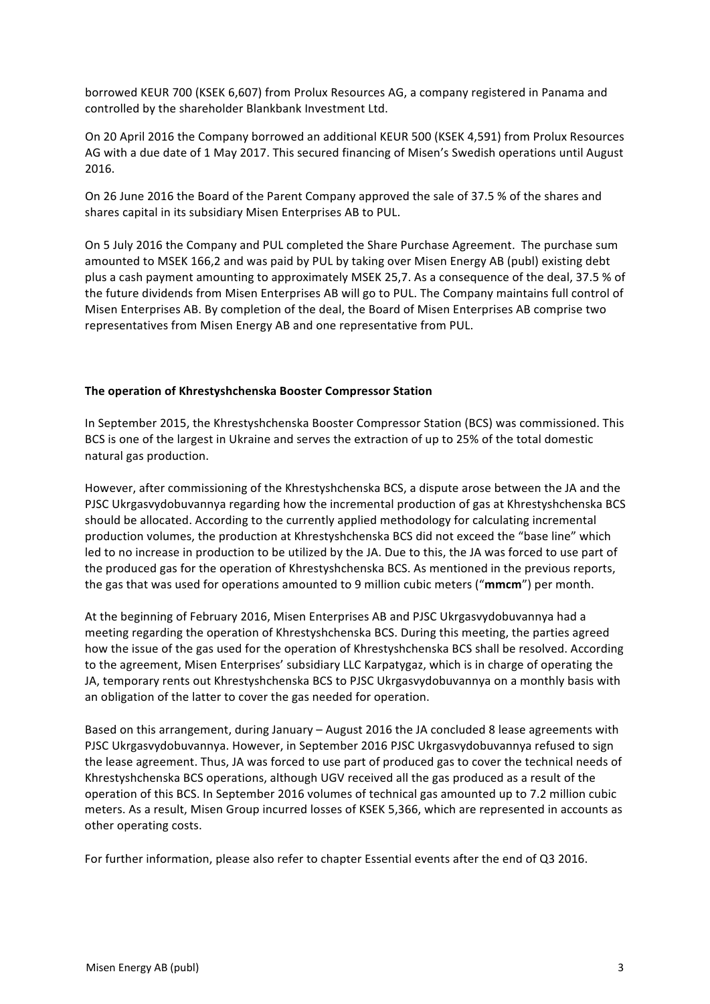borrowed KEUR 700 (KSEK 6,607) from Prolux Resources AG, a company registered in Panama and controlled by the shareholder Blankbank Investment Ltd.

On 20 April 2016 the Company borrowed an additional KEUR 500 (KSEK 4,591) from Prolux Resources AG with a due date of 1 May 2017. This secured financing of Misen's Swedish operations until August 2016. 

On 26 June 2016 the Board of the Parent Company approved the sale of 37.5 % of the shares and shares capital in its subsidiary Misen Enterprises AB to PUL.

On 5 July 2016 the Company and PUL completed the Share Purchase Agreement. The purchase sum amounted to MSEK 166,2 and was paid by PUL by taking over Misen Energy AB (publ) existing debt plus a cash payment amounting to approximately MSEK 25,7. As a consequence of the deal, 37.5 % of the future dividends from Misen Enterprises AB will go to PUL. The Company maintains full control of Misen Enterprises AB. By completion of the deal, the Board of Misen Enterprises AB comprise two representatives from Misen Energy AB and one representative from PUL.

# **The operation of Khrestyshchenska Booster Compressor Station**

In September 2015, the Khrestyshchenska Booster Compressor Station (BCS) was commissioned. This BCS is one of the largest in Ukraine and serves the extraction of up to 25% of the total domestic natural gas production.

However, after commissioning of the Khrestyshchenska BCS, a dispute arose between the JA and the PJSC Ukrgasvydobuvannya regarding how the incremental production of gas at Khrestyshchenska BCS should be allocated. According to the currently applied methodology for calculating incremental production volumes, the production at Khrestyshchenska BCS did not exceed the "base line" which led to no increase in production to be utilized by the JA. Due to this, the JA was forced to use part of the produced gas for the operation of Khrestyshchenska BCS. As mentioned in the previous reports, the gas that was used for operations amounted to 9 million cubic meters ("mmcm") per month.

At the beginning of February 2016, Misen Enterprises AB and PJSC Ukrgasvydobuvannya had a meeting regarding the operation of Khrestyshchenska BCS. During this meeting, the parties agreed how the issue of the gas used for the operation of Khrestyshchenska BCS shall be resolved. According to the agreement, Misen Enterprises' subsidiary LLC Karpatygaz, which is in charge of operating the JA, temporary rents out Khrestyshchenska BCS to PJSC Ukrgasvydobuvannya on a monthly basis with an obligation of the latter to cover the gas needed for operation.

Based on this arrangement, during January – August 2016 the JA concluded 8 lease agreements with PJSC Ukrgasvydobuvannya. However, in September 2016 PJSC Ukrgasvydobuvannya refused to sign the lease agreement. Thus, JA was forced to use part of produced gas to cover the technical needs of Khrestyshchenska BCS operations, although UGV received all the gas produced as a result of the operation of this BCS. In September 2016 volumes of technical gas amounted up to 7.2 million cubic meters. As a result, Misen Group incurred losses of KSEK 5,366, which are represented in accounts as other operating costs.

For further information, please also refer to chapter Essential events after the end of Q3 2016.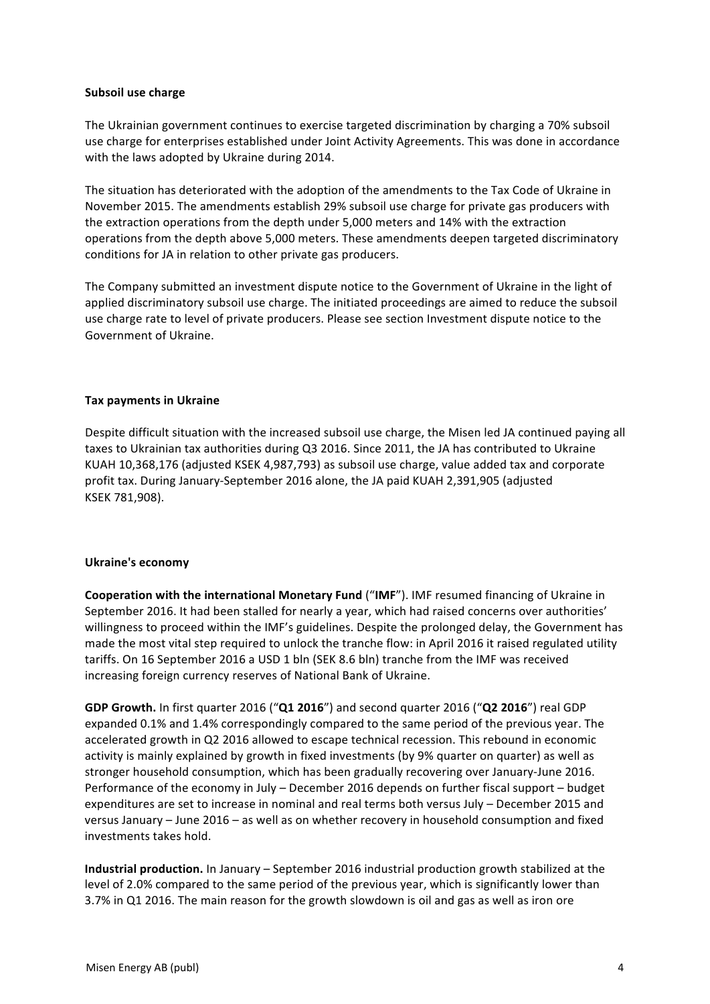### **Subsoil use charge**

The Ukrainian government continues to exercise targeted discrimination by charging a 70% subsoil use charge for enterprises established under Joint Activity Agreements. This was done in accordance with the laws adopted by Ukraine during 2014.

The situation has deteriorated with the adoption of the amendments to the Tax Code of Ukraine in November 2015. The amendments establish 29% subsoil use charge for private gas producers with the extraction operations from the depth under 5,000 meters and 14% with the extraction operations from the depth above 5,000 meters. These amendments deepen targeted discriminatory conditions for JA in relation to other private gas producers.

The Company submitted an investment dispute notice to the Government of Ukraine in the light of applied discriminatory subsoil use charge. The initiated proceedings are aimed to reduce the subsoil use charge rate to level of private producers. Please see section Investment dispute notice to the Government of Ukraine.

# **Tax payments in Ukraine**

Despite difficult situation with the increased subsoil use charge, the Misen led JA continued paying all taxes to Ukrainian tax authorities during Q3 2016. Since 2011, the JA has contributed to Ukraine KUAH 10,368,176 (adjusted KSEK 4,987,793) as subsoil use charge, value added tax and corporate profit tax. During January-September 2016 alone, the JA paid KUAH 2,391,905 (adjusted KSEK 781,908).

#### **Ukraine's economy**

**Cooperation with the international Monetary Fund ("IMF"). IMF resumed financing of Ukraine in** September 2016. It had been stalled for nearly a year, which had raised concerns over authorities' willingness to proceed within the IMF's guidelines. Despite the prolonged delay, the Government has made the most vital step required to unlock the tranche flow: in April 2016 it raised regulated utility tariffs. On 16 September 2016 a USD 1 bln (SEK 8.6 bln) tranche from the IMF was received increasing foreign currency reserves of National Bank of Ukraine.

**GDP Growth.** In first quarter 2016 ("Q1 2016") and second quarter 2016 ("Q2 2016") real GDP expanded 0.1% and 1.4% correspondingly compared to the same period of the previous year. The accelerated growth in Q2 2016 allowed to escape technical recession. This rebound in economic activity is mainly explained by growth in fixed investments (by 9% quarter on quarter) as well as stronger household consumption, which has been gradually recovering over January-June 2016. Performance of the economy in July – December 2016 depends on further fiscal support – budget expenditures are set to increase in nominal and real terms both versus July - December 2015 and versus January – June 2016 – as well as on whether recovery in household consumption and fixed investments takes hold.

**Industrial production.** In January – September 2016 industrial production growth stabilized at the level of 2.0% compared to the same period of the previous year, which is significantly lower than 3.7% in Q1 2016. The main reason for the growth slowdown is oil and gas as well as iron ore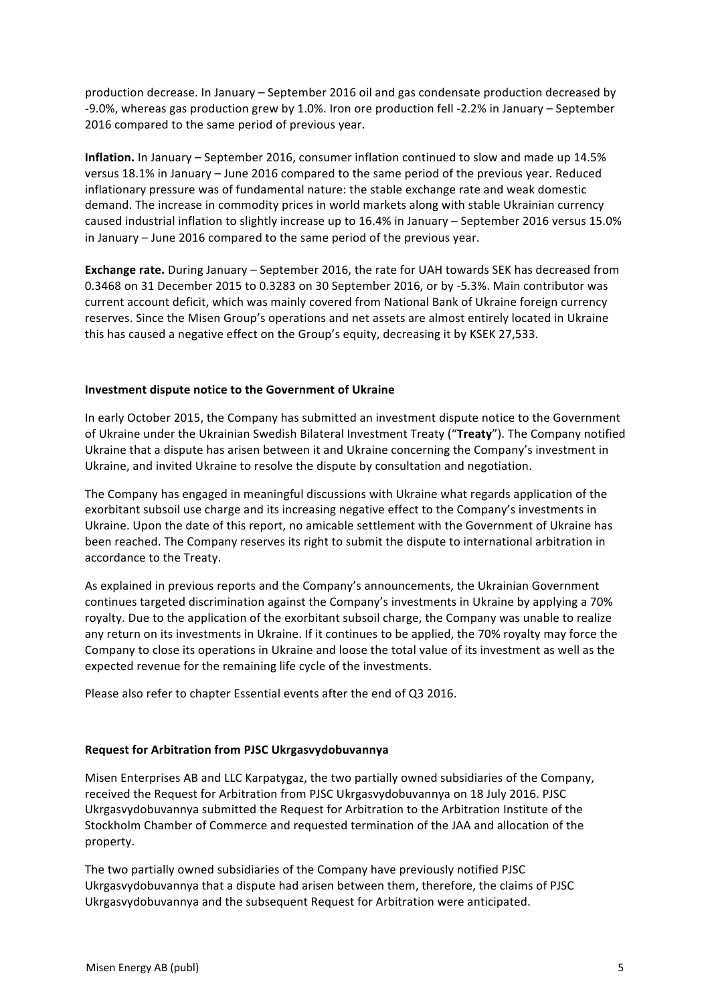production decrease. In January – September 2016 oil and gas condensate production decreased by -9.0%, whereas gas production grew by 1.0%. Iron ore production fell -2.2% in January – September 2016 compared to the same period of previous year.

**Inflation.** In January – September 2016, consumer inflation continued to slow and made up 14.5% versus 18.1% in January – June 2016 compared to the same period of the previous year. Reduced inflationary pressure was of fundamental nature: the stable exchange rate and weak domestic demand. The increase in commodity prices in world markets along with stable Ukrainian currency caused industrial inflation to slightly increase up to 16.4% in January - September 2016 versus 15.0% in January  $-$  June 2016 compared to the same period of the previous year.

**Exchange rate.** During January – September 2016, the rate for UAH towards SEK has decreased from 0.3468 on 31 December 2015 to 0.3283 on 30 September 2016, or by -5.3%. Main contributor was current account deficit, which was mainly covered from National Bank of Ukraine foreign currency reserves. Since the Misen Group's operations and net assets are almost entirely located in Ukraine this has caused a negative effect on the Group's equity, decreasing it by KSEK 27.533.

# **Investment dispute notice to the Government of Ukraine**

In early October 2015, the Company has submitted an investment dispute notice to the Government of Ukraine under the Ukrainian Swedish Bilateral Investment Treaty ("Treaty"). The Company notified Ukraine that a dispute has arisen between it and Ukraine concerning the Company's investment in Ukraine, and invited Ukraine to resolve the dispute by consultation and negotiation.

The Company has engaged in meaningful discussions with Ukraine what regards application of the exorbitant subsoil use charge and its increasing negative effect to the Company's investments in Ukraine. Upon the date of this report, no amicable settlement with the Government of Ukraine has been reached. The Company reserves its right to submit the dispute to international arbitration in accordance to the Treaty.

As explained in previous reports and the Company's announcements, the Ukrainian Government continues targeted discrimination against the Company's investments in Ukraine by applying a 70% royalty. Due to the application of the exorbitant subsoil charge, the Company was unable to realize any return on its investments in Ukraine. If it continues to be applied, the 70% royalty may force the Company to close its operations in Ukraine and loose the total value of its investment as well as the expected revenue for the remaining life cycle of the investments.

Please also refer to chapter Essential events after the end of Q3 2016.

# **Request for Arbitration from PJSC Ukrgasvydobuvannya**

Misen Enterprises AB and LLC Karpatygaz, the two partially owned subsidiaries of the Company, received the Request for Arbitration from PJSC Ukrgasvydobuvannya on 18 July 2016. PJSC Ukrgasvydobuvannya submitted the Request for Arbitration to the Arbitration Institute of the Stockholm Chamber of Commerce and requested termination of the JAA and allocation of the property.

The two partially owned subsidiaries of the Company have previously notified PJSC Ukrgasvydobuvannya that a dispute had arisen between them, therefore, the claims of PJSC Ukrgasvydobuvannya and the subsequent Request for Arbitration were anticipated.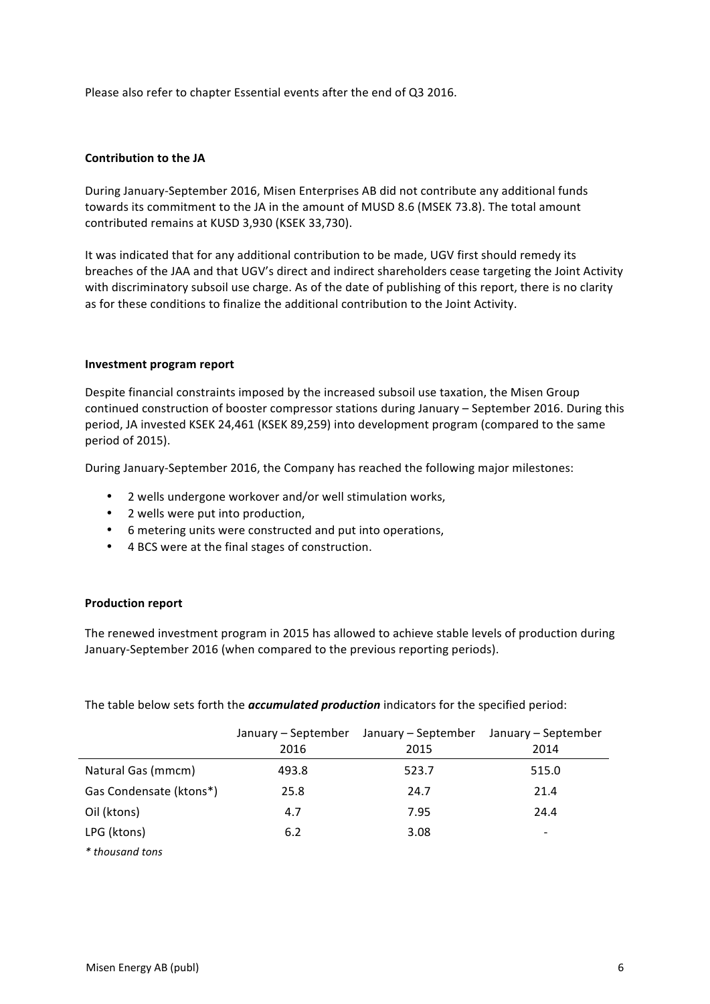Please also refer to chapter Essential events after the end of Q3 2016.

### **Contribution to the JA**

During January-September 2016, Misen Enterprises AB did not contribute any additional funds towards its commitment to the JA in the amount of MUSD 8.6 (MSEK 73.8). The total amount contributed remains at KUSD 3,930 (KSEK 33,730).

It was indicated that for any additional contribution to be made. UGV first should remedy its breaches of the JAA and that UGV's direct and indirect shareholders cease targeting the Joint Activity with discriminatory subsoil use charge. As of the date of publishing of this report, there is no clarity as for these conditions to finalize the additional contribution to the Joint Activity.

#### **Investment program report**

Despite financial constraints imposed by the increased subsoil use taxation, the Misen Group continued construction of booster compressor stations during January – September 2016. During this period, JA invested KSEK 24,461 (KSEK 89,259) into development program (compared to the same period of 2015).

During January-September 2016, the Company has reached the following major milestones:

- 2 wells undergone workover and/or well stimulation works,
- 2 wells were put into production,
- 6 metering units were constructed and put into operations,
- 4 BCS were at the final stages of construction.

#### **Production report**

The renewed investment program in 2015 has allowed to achieve stable levels of production during January-September 2016 (when compared to the previous reporting periods).

The table below sets forth the **accumulated production** indicators for the specified period:

|                         | January – September<br>2016 | January – September<br>2015 | January - September<br>2014 |
|-------------------------|-----------------------------|-----------------------------|-----------------------------|
| Natural Gas (mmcm)      | 493.8                       | 523.7                       | 515.0                       |
| Gas Condensate (ktons*) | 25.8                        | 24.7                        | 21.4                        |
| Oil (ktons)             | 4.7                         | 7.95                        | 24.4                        |
| LPG (ktons)             | 6.2                         | 3.08                        |                             |
| * thousand tons         |                             |                             |                             |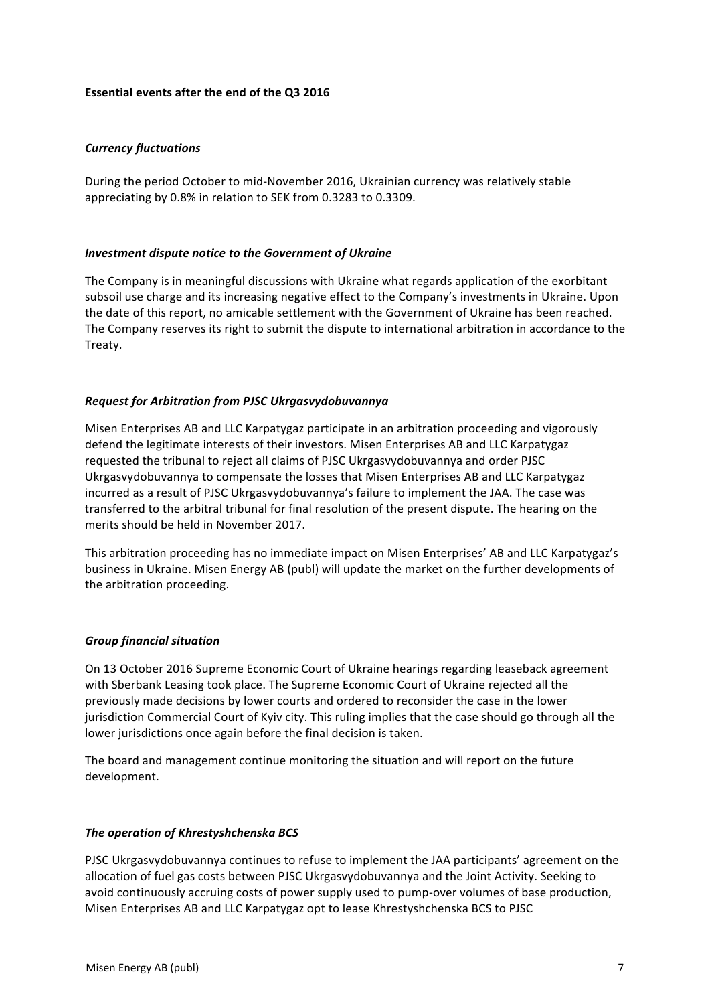# **Essential events after the end of the Q3 2016**

# *Currency fluctuations*

During the period October to mid-November 2016, Ukrainian currency was relatively stable appreciating by 0.8% in relation to SEK from 0.3283 to 0.3309.

#### *Investment dispute notice to the Government of Ukraine*

The Company is in meaningful discussions with Ukraine what regards application of the exorbitant subsoil use charge and its increasing negative effect to the Company's investments in Ukraine. Upon the date of this report, no amicable settlement with the Government of Ukraine has been reached. The Company reserves its right to submit the dispute to international arbitration in accordance to the Treaty.

# *Request for Arbitration from PJSC Ukrgasvydobuvannya*

Misen Enterprises AB and LLC Karpatygaz participate in an arbitration proceeding and vigorously defend the legitimate interests of their investors. Misen Enterprises AB and LLC Karpatygaz requested the tribunal to reject all claims of PJSC Ukrgasvydobuvannya and order PJSC Ukrgasvydobuvannya to compensate the losses that Misen Enterprises AB and LLC Karpatygaz incurred as a result of PJSC Ukrgasvydobuvannya's failure to implement the JAA. The case was transferred to the arbitral tribunal for final resolution of the present dispute. The hearing on the merits should be held in November 2017.

This arbitration proceeding has no immediate impact on Misen Enterprises' AB and LLC Karpatygaz's business in Ukraine. Misen Energy AB (publ) will update the market on the further developments of the arbitration proceeding.

#### *Group financial situation*

On 13 October 2016 Supreme Economic Court of Ukraine hearings regarding leaseback agreement with Sberbank Leasing took place. The Supreme Economic Court of Ukraine rejected all the previously made decisions by lower courts and ordered to reconsider the case in the lower jurisdiction Commercial Court of Kyiv city. This ruling implies that the case should go through all the lower jurisdictions once again before the final decision is taken.

The board and management continue monitoring the situation and will report on the future development.

#### **The operation of Khrestyshchenska BCS**

PJSC Ukrgasvydobuvannya continues to refuse to implement the JAA participants' agreement on the allocation of fuel gas costs between PJSC Ukrgasvydobuvannya and the Joint Activity. Seeking to avoid continuously accruing costs of power supply used to pump-over volumes of base production, Misen Enterprises AB and LLC Karpatygaz opt to lease Khrestyshchenska BCS to PJSC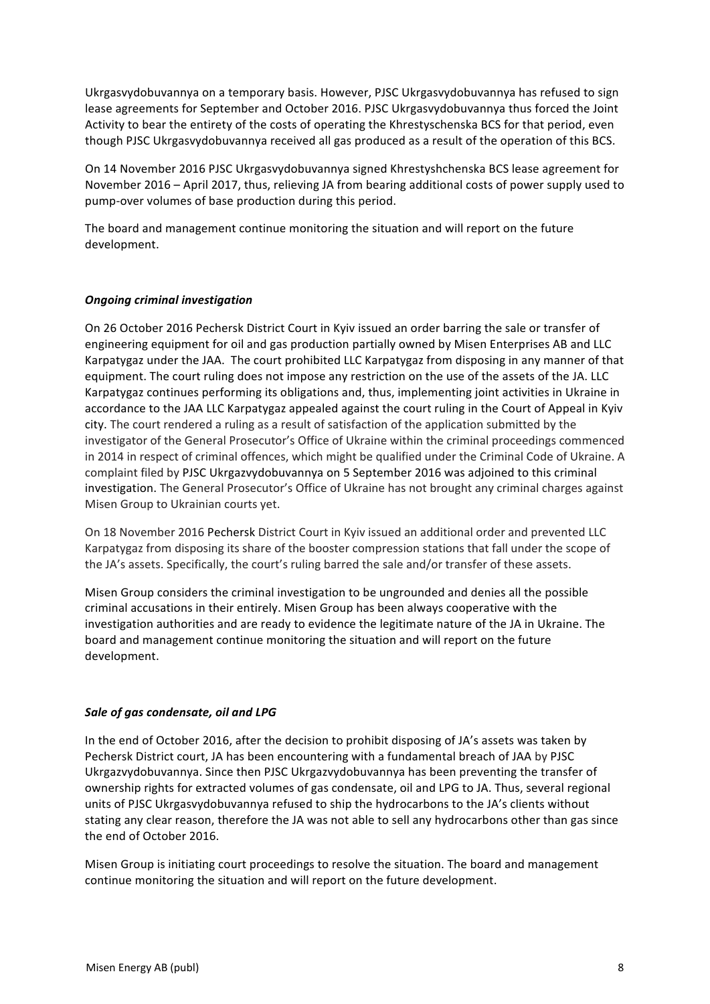Ukrgasvydobuvannya on a temporary basis. However, PJSC Ukrgasvydobuvannya has refused to sign lease agreements for September and October 2016. PJSC Ukrgasvydobuvannya thus forced the Joint Activity to bear the entirety of the costs of operating the Khrestyschenska BCS for that period, even though PJSC Ukrgasvydobuvannya received all gas produced as a result of the operation of this BCS.

On 14 November 2016 PJSC Ukrgasvydobuvannya signed Khrestyshchenska BCS lease agreement for November 2016 – April 2017, thus, relieving JA from bearing additional costs of power supply used to pump-over volumes of base production during this period.

The board and management continue monitoring the situation and will report on the future development.

# **Ongoing criminal investigation**

On 26 October 2016 Pechersk District Court in Kyiv issued an order barring the sale or transfer of engineering equipment for oil and gas production partially owned by Misen Enterprises AB and LLC Karpatygaz under the JAA. The court prohibited LLC Karpatygaz from disposing in any manner of that equipment. The court ruling does not impose any restriction on the use of the assets of the JA. LLC Karpatygaz continues performing its obligations and, thus, implementing joint activities in Ukraine in accordance to the JAA LLC Karpatygaz appealed against the court ruling in the Court of Appeal in Kyiv city. The court rendered a ruling as a result of satisfaction of the application submitted by the investigator of the General Prosecutor's Office of Ukraine within the criminal proceedings commenced in 2014 in respect of criminal offences, which might be qualified under the Criminal Code of Ukraine. A complaint filed by PJSC Ukrgazvydobuvannya on 5 September 2016 was adjoined to this criminal investigation. The General Prosecutor's Office of Ukraine has not brought any criminal charges against Misen Group to Ukrainian courts yet.

On 18 November 2016 Pechersk District Court in Kyiv issued an additional order and prevented LLC Karpatygaz from disposing its share of the booster compression stations that fall under the scope of the JA's assets. Specifically, the court's ruling barred the sale and/or transfer of these assets.

Misen Group considers the criminal investigation to be ungrounded and denies all the possible criminal accusations in their entirely. Misen Group has been always cooperative with the investigation authorities and are ready to evidence the legitimate nature of the JA in Ukraine. The board and management continue monitoring the situation and will report on the future development.

# *Sale of gas condensate, oil and LPG*

In the end of October 2016, after the decision to prohibit disposing of JA's assets was taken by Pechersk District court, JA has been encountering with a fundamental breach of JAA by PJSC Ukrgazvydobuvannya. Since then PJSC Ukrgazvydobuvannya has been preventing the transfer of ownership rights for extracted volumes of gas condensate, oil and LPG to JA. Thus, several regional units of PJSC Ukrgasvydobuvannya refused to ship the hydrocarbons to the JA's clients without stating any clear reason, therefore the JA was not able to sell any hydrocarbons other than gas since the end of October 2016.

Misen Group is initiating court proceedings to resolve the situation. The board and management continue monitoring the situation and will report on the future development.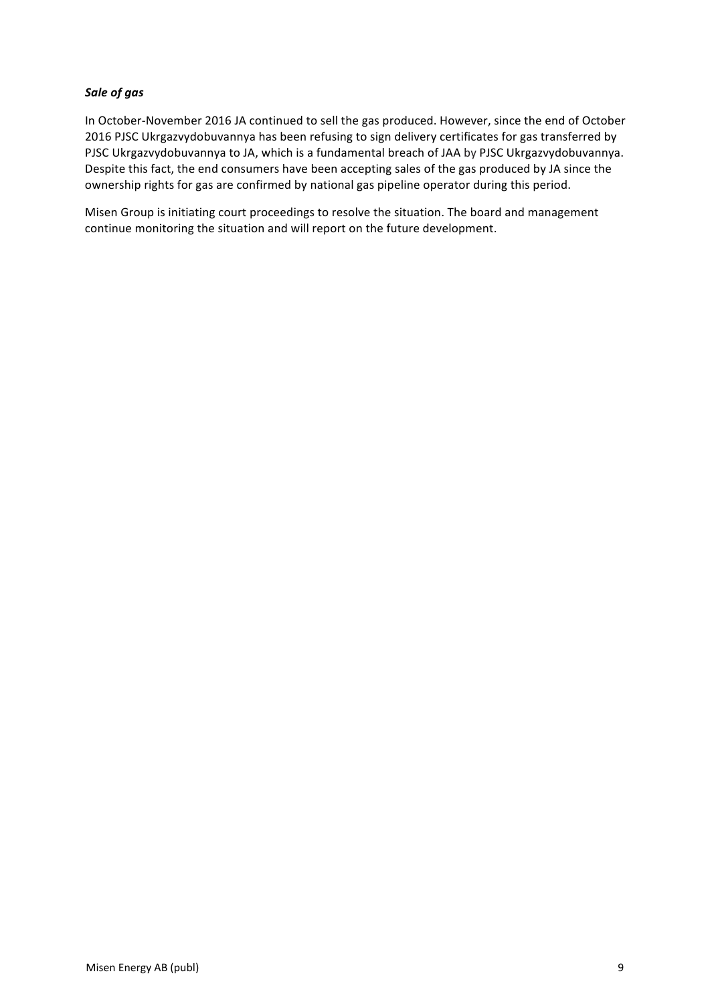# *Sale of gas*

In October-November 2016 JA continued to sell the gas produced. However, since the end of October 2016 PJSC Ukrgazvydobuvannya has been refusing to sign delivery certificates for gas transferred by PJSC Ukrgazvydobuvannya to JA, which is a fundamental breach of JAA by PJSC Ukrgazvydobuvannya. Despite this fact, the end consumers have been accepting sales of the gas produced by JA since the ownership rights for gas are confirmed by national gas pipeline operator during this period.

Misen Group is initiating court proceedings to resolve the situation. The board and management continue monitoring the situation and will report on the future development.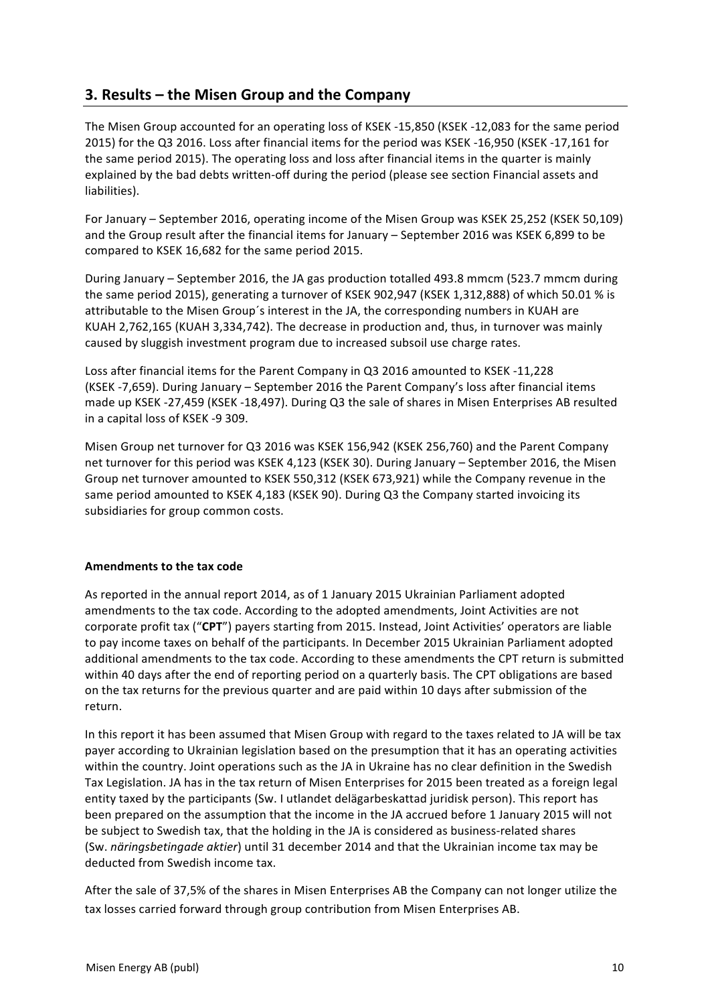# **3. Results – the Misen Group and the Company**

The Misen Group accounted for an operating loss of KSEK -15,850 (KSEK -12,083 for the same period 2015) for the Q3 2016. Loss after financial items for the period was KSEK -16,950 (KSEK -17,161 for the same period 2015). The operating loss and loss after financial items in the quarter is mainly explained by the bad debts written-off during the period (please see section Financial assets and liabilities).

For January – September 2016, operating income of the Misen Group was KSEK 25,252 (KSEK 50,109) and the Group result after the financial items for January – September 2016 was KSEK 6,899 to be compared to KSEK 16,682 for the same period 2015.

During January – September 2016, the JA gas production totalled 493.8 mmcm (523.7 mmcm during the same period 2015), generating a turnover of KSEK 902,947 (KSEK 1,312,888) of which 50.01 % is attributable to the Misen Group's interest in the JA, the corresponding numbers in KUAH are KUAH 2,762,165 (KUAH 3,334,742). The decrease in production and, thus, in turnover was mainly caused by sluggish investment program due to increased subsoil use charge rates.

Loss after financial items for the Parent Company in Q3 2016 amounted to KSEK -11,228 (KSEK -7,659). During January  $-$  September 2016 the Parent Company's loss after financial items made up KSEK -27,459 (KSEK -18,497). During Q3 the sale of shares in Misen Enterprises AB resulted in a capital loss of KSEK -9 309.

Misen Group net turnover for Q3 2016 was KSEK 156,942 (KSEK 256,760) and the Parent Company net turnover for this period was KSEK 4,123 (KSEK 30). During January - September 2016, the Misen Group net turnover amounted to KSEK 550,312 (KSEK 673,921) while the Company revenue in the same period amounted to KSEK 4,183 (KSEK 90). During Q3 the Company started invoicing its subsidiaries for group common costs.

# **Amendments to the tax code**

As reported in the annual report 2014, as of 1 January 2015 Ukrainian Parliament adopted amendments to the tax code. According to the adopted amendments, Joint Activities are not corporate profit tax ("CPT") payers starting from 2015. Instead, Joint Activities' operators are liable to pay income taxes on behalf of the participants. In December 2015 Ukrainian Parliament adopted additional amendments to the tax code. According to these amendments the CPT return is submitted within 40 days after the end of reporting period on a quarterly basis. The CPT obligations are based on the tax returns for the previous quarter and are paid within 10 days after submission of the return. 

In this report it has been assumed that Misen Group with regard to the taxes related to JA will be tax payer according to Ukrainian legislation based on the presumption that it has an operating activities within the country. Joint operations such as the JA in Ukraine has no clear definition in the Swedish Tax Legislation. JA has in the tax return of Misen Enterprises for 2015 been treated as a foreign legal entity taxed by the participants (Sw. I utlandet delägarbeskattad juridisk person). This report has been prepared on the assumption that the income in the JA accrued before 1 January 2015 will not be subject to Swedish tax, that the holding in the JA is considered as business-related shares (Sw. *näringsbetingade aktier*) until 31 december 2014 and that the Ukrainian income tax may be deducted from Swedish income tax.

After the sale of 37,5% of the shares in Misen Enterprises AB the Company can not longer utilize the tax losses carried forward through group contribution from Misen Enterprises AB.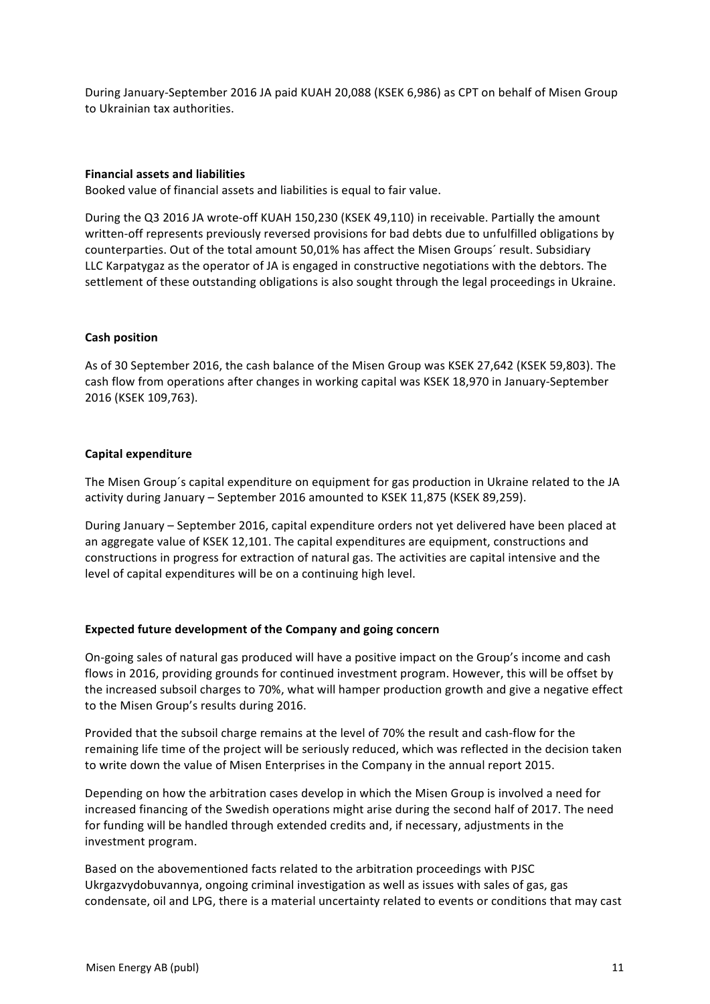During January-September 2016 JA paid KUAH 20,088 (KSEK 6,986) as CPT on behalf of Misen Group to Ukrainian tax authorities.

### **Financial assets and liabilities**

Booked value of financial assets and liabilities is equal to fair value.

During the Q3 2016 JA wrote-off KUAH 150.230 (KSEK 49.110) in receivable. Partially the amount written-off represents previously reversed provisions for bad debts due to unfulfilled obligations by counterparties. Out of the total amount 50,01% has affect the Misen Groups' result. Subsidiary LLC Karpatygaz as the operator of JA is engaged in constructive negotiations with the debtors. The settlement of these outstanding obligations is also sought through the legal proceedings in Ukraine.

#### **Cash position**

As of 30 September 2016, the cash balance of the Misen Group was KSEK 27,642 (KSEK 59,803). The cash flow from operations after changes in working capital was KSEK 18,970 in January-September 2016 (KSEK 109,763). 

#### **Capital expenditure**

The Misen Group's capital expenditure on equipment for gas production in Ukraine related to the JA activity during January – September 2016 amounted to KSEK 11,875 (KSEK 89,259).

During January – September 2016, capital expenditure orders not yet delivered have been placed at an aggregate value of KSEK 12,101. The capital expenditures are equipment, constructions and constructions in progress for extraction of natural gas. The activities are capital intensive and the level of capital expenditures will be on a continuing high level.

# **Expected future development of the Company and going concern**

On-going sales of natural gas produced will have a positive impact on the Group's income and cash flows in 2016, providing grounds for continued investment program. However, this will be offset by the increased subsoil charges to 70%, what will hamper production growth and give a negative effect to the Misen Group's results during 2016.

Provided that the subsoil charge remains at the level of 70% the result and cash-flow for the remaining life time of the project will be seriously reduced, which was reflected in the decision taken to write down the value of Misen Enterprises in the Company in the annual report 2015.

Depending on how the arbitration cases develop in which the Misen Group is involved a need for increased financing of the Swedish operations might arise during the second half of 2017. The need for funding will be handled through extended credits and, if necessary, adjustments in the investment program.

Based on the abovementioned facts related to the arbitration proceedings with PJSC Ukrgazvydobuvannya, ongoing criminal investigation as well as issues with sales of gas, gas condensate, oil and LPG, there is a material uncertainty related to events or conditions that may cast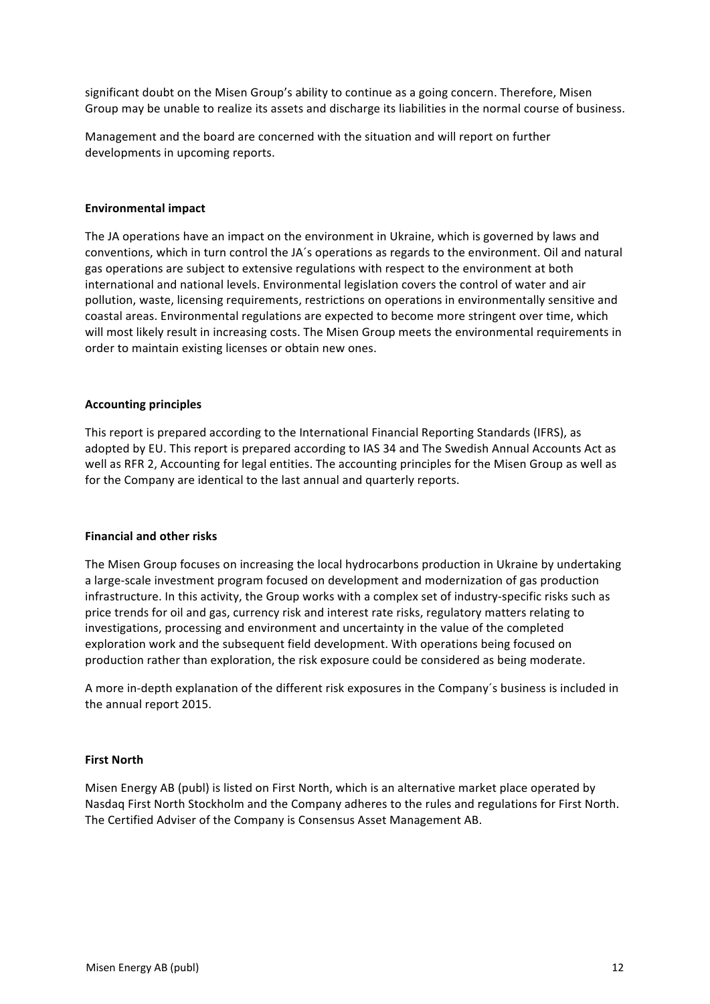significant doubt on the Misen Group's ability to continue as a going concern. Therefore, Misen Group may be unable to realize its assets and discharge its liabilities in the normal course of business.

Management and the board are concerned with the situation and will report on further developments in upcoming reports.

#### **Environmental impact**

The JA operations have an impact on the environment in Ukraine, which is governed by laws and conventions, which in turn control the JA's operations as regards to the environment. Oil and natural gas operations are subject to extensive regulations with respect to the environment at both international and national levels. Environmental legislation covers the control of water and air pollution, waste, licensing requirements, restrictions on operations in environmentally sensitive and coastal areas. Environmental regulations are expected to become more stringent over time, which will most likely result in increasing costs. The Misen Group meets the environmental requirements in order to maintain existing licenses or obtain new ones.

#### **Accounting principles**

This report is prepared according to the International Financial Reporting Standards (IFRS), as adopted by EU. This report is prepared according to IAS 34 and The Swedish Annual Accounts Act as well as RFR 2, Accounting for legal entities. The accounting principles for the Misen Group as well as for the Company are identical to the last annual and quarterly reports.

#### **Financial and other risks**

The Misen Group focuses on increasing the local hydrocarbons production in Ukraine by undertaking a large-scale investment program focused on development and modernization of gas production infrastructure. In this activity, the Group works with a complex set of industry-specific risks such as price trends for oil and gas, currency risk and interest rate risks, regulatory matters relating to investigations, processing and environment and uncertainty in the value of the completed exploration work and the subsequent field development. With operations being focused on production rather than exploration, the risk exposure could be considered as being moderate.

A more in-depth explanation of the different risk exposures in the Company's business is included in the annual report 2015.

#### **First North**

Misen Energy AB (publ) is listed on First North, which is an alternative market place operated by Nasdaq First North Stockholm and the Company adheres to the rules and regulations for First North. The Certified Adviser of the Company is Consensus Asset Management AB.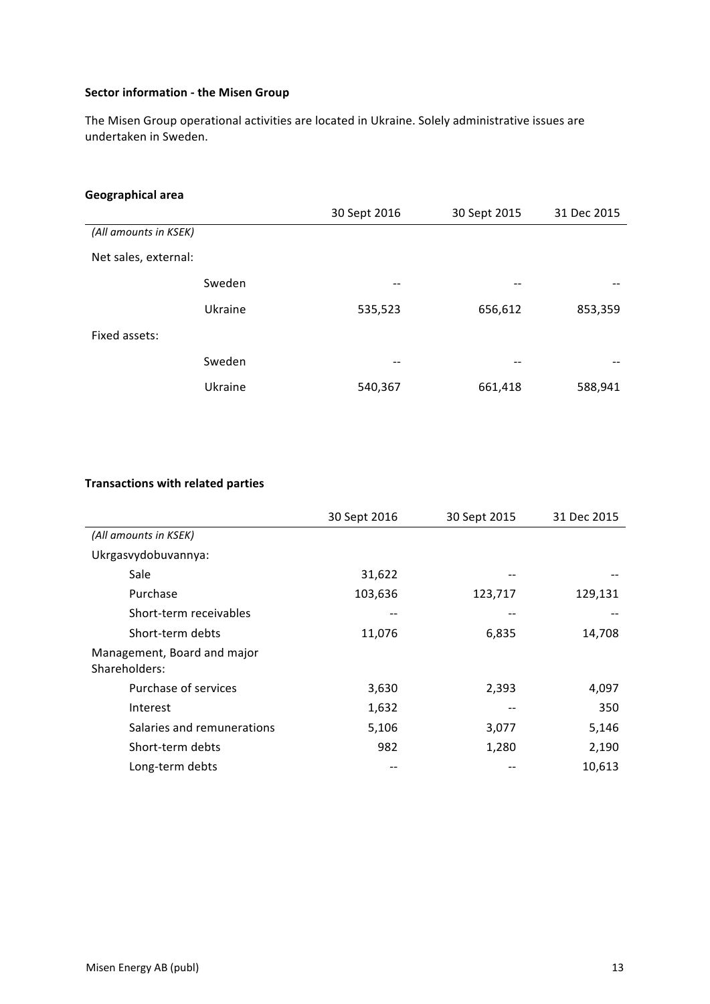# **Sector information - the Misen Group**

The Misen Group operational activities are located in Ukraine. Solely administrative issues are undertaken in Sweden.

# **Geographical area**

|                       | 30 Sept 2016      | 30 Sept 2015 | 31 Dec 2015 |
|-----------------------|-------------------|--------------|-------------|
| (All amounts in KSEK) |                   |              |             |
| Net sales, external:  |                   |              |             |
| Sweden                | --                |              |             |
| Ukraine               | 535,523           | 656,612      | 853,359     |
| Fixed assets:         |                   |              |             |
| Sweden                | $\qquad \qquad -$ | --           |             |
| Ukraine               | 540,367           | 661,418      | 588,941     |

# **Transactions with related parties**

|                                              | 30 Sept 2016 | 30 Sept 2015 | 31 Dec 2015 |
|----------------------------------------------|--------------|--------------|-------------|
| (All amounts in KSEK)                        |              |              |             |
| Ukrgasvydobuvannya:                          |              |              |             |
| Sale                                         | 31,622       |              |             |
| Purchase                                     | 103,636      | 123,717      | 129,131     |
| Short-term receivables                       |              |              |             |
| Short-term debts                             | 11,076       | 6,835        | 14,708      |
| Management, Board and major<br>Shareholders: |              |              |             |
| Purchase of services                         | 3,630        | 2,393        | 4,097       |
| Interest                                     | 1,632        |              | 350         |
| Salaries and remunerations                   | 5,106        | 3,077        | 5,146       |
| Short-term debts                             | 982          | 1,280        | 2,190       |
| Long-term debts                              |              |              | 10,613      |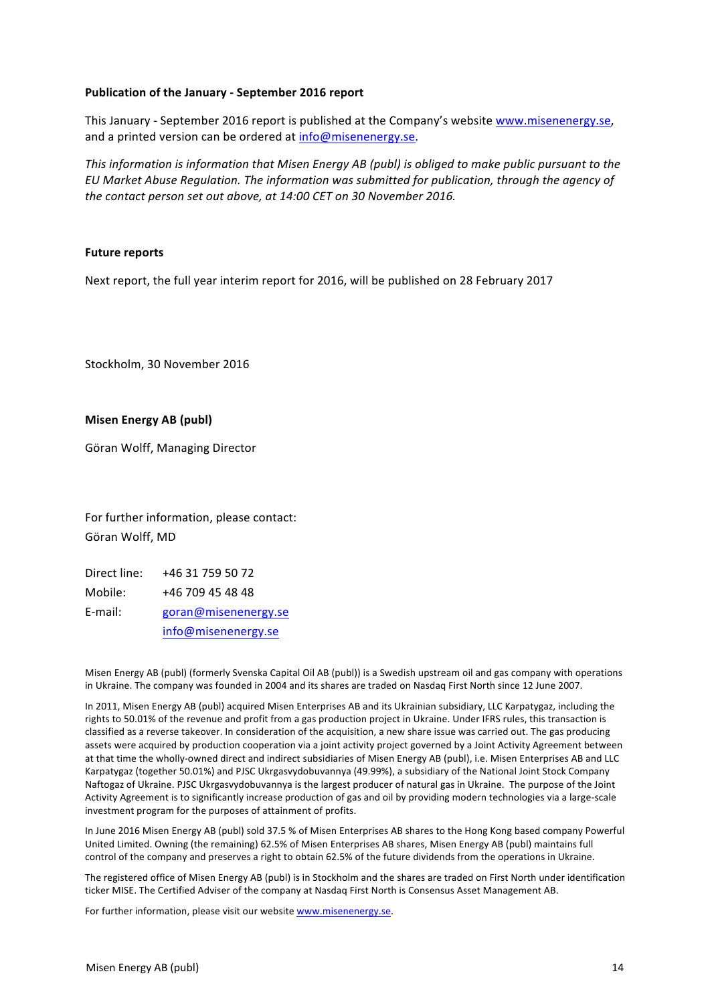#### **Publication of the January - September 2016 report**

This January - September 2016 report is published at the Company's website www.misenenergy.se, and a printed version can be ordered at info@misenenergy.se.

This information is information that Misen Energy AB (publ) is obliged to make public pursuant to the *EU Market Abuse Regulation. The information was submitted for publication, through the agency of the contact person set out above, at 14:00 CET on 30 November 2016.* 

#### **Future reports**

Next report, the full year interim report for 2016, will be published on 28 February 2017

Stockholm, 30 November 2016

#### **Misen Energy AB (publ)**

Göran Wolff, Managing Director

For further information, please contact: Göran Wolff, MD

Direct line: +46 31 759 50 72 Mobile: +46 709 45 48 48 E-mail: goran@misenenergy.se info@misenenergy.se

Misen Energy AB (publ) (formerly Svenska Capital Oil AB (publ)) is a Swedish upstream oil and gas company with operations in Ukraine. The company was founded in 2004 and its shares are traded on Nasdaq First North since 12 June 2007.

In 2011, Misen Energy AB (publ) acquired Misen Enterprises AB and its Ukrainian subsidiary, LLC Karpatygaz, including the rights to 50.01% of the revenue and profit from a gas production project in Ukraine. Under IFRS rules, this transaction is classified as a reverse takeover. In consideration of the acquisition, a new share issue was carried out. The gas producing assets were acquired by production cooperation via a joint activity project governed by a Joint Activity Agreement between at that time the wholly-owned direct and indirect subsidiaries of Misen Energy AB (publ), i.e. Misen Enterprises AB and LLC Karpatygaz (together 50.01%) and PJSC Ukrgasvydobuvannya (49.99%), a subsidiary of the National Joint Stock Company Naftogaz of Ukraine. PJSC Ukrgasvydobuvannya is the largest producer of natural gas in Ukraine. The purpose of the Joint Activity Agreement is to significantly increase production of gas and oil by providing modern technologies via a large-scale investment program for the purposes of attainment of profits.

In June 2016 Misen Energy AB (publ) sold 37.5 % of Misen Enterprises AB shares to the Hong Kong based company Powerful United Limited. Owning (the remaining) 62.5% of Misen Enterprises AB shares, Misen Energy AB (publ) maintains full control of the company and preserves a right to obtain 62.5% of the future dividends from the operations in Ukraine.

The registered office of Misen Energy AB (publ) is in Stockholm and the shares are traded on First North under identification ticker MISE. The Certified Adviser of the company at Nasdaq First North is Consensus Asset Management AB.

For further information, please visit our website www.misenenergy.se.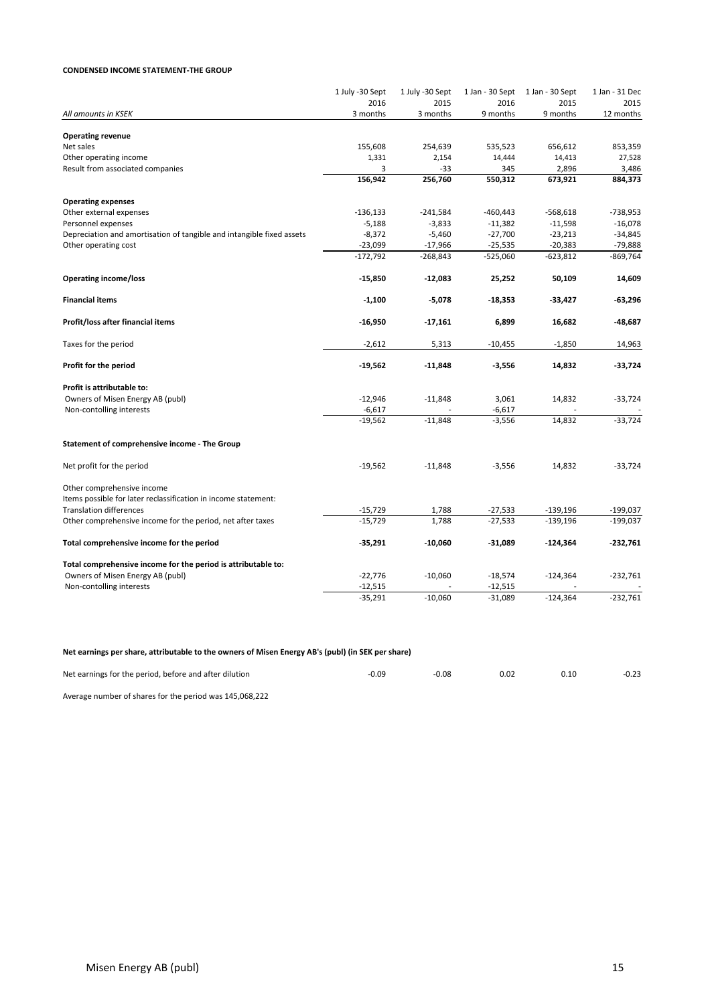#### **CONDENSED INCOME STATEMENT-THE GROUP**

|                                                                       | 1 July -30 Sept | 1 July -30 Sept | 1 Jan - 30 Sept | 1 Jan - 30 Sept | 1 Jan - 31 Dec |
|-----------------------------------------------------------------------|-----------------|-----------------|-----------------|-----------------|----------------|
|                                                                       | 2016            | 2015            | 2016            | 2015            | 2015           |
| All amounts in KSEK                                                   | 3 months        | 3 months        | 9 months        | 9 months        | 12 months      |
| <b>Operating revenue</b>                                              |                 |                 |                 |                 |                |
| Net sales                                                             | 155,608         | 254,639         | 535,523         | 656,612         | 853,359        |
| Other operating income                                                | 1,331           | 2,154           | 14,444          | 14,413          | 27,528         |
| Result from associated companies                                      | 3               | $-33$           | 345             | 2,896           | 3,486          |
|                                                                       | 156,942         | 256,760         | 550,312         | 673,921         | 884,373        |
| <b>Operating expenses</b>                                             |                 |                 |                 |                 |                |
| Other external expenses                                               | $-136,133$      | $-241,584$      | $-460,443$      | $-568,618$      | $-738,953$     |
| Personnel expenses                                                    | $-5,188$        | $-3,833$        | $-11,382$       | $-11,598$       | $-16,078$      |
| Depreciation and amortisation of tangible and intangible fixed assets | $-8,372$        | $-5,460$        | $-27,700$       | $-23,213$       | $-34,845$      |
| Other operating cost                                                  | $-23,099$       | $-17,966$       | $-25,535$       | $-20,383$       | $-79,888$      |
|                                                                       | $-172,792$      | $-268,843$      | $-525,060$      | $-623,812$      | $-869,764$     |
| <b>Operating income/loss</b>                                          | $-15,850$       | $-12,083$       | 25,252          | 50,109          | 14,609         |
| <b>Financial items</b>                                                | $-1,100$        | $-5,078$        | $-18,353$       | $-33,427$       | $-63,296$      |
| Profit/loss after financial items                                     | -16,950         | $-17,161$       | 6,899           | 16,682          | -48,687        |
| Taxes for the period                                                  | $-2,612$        | 5,313           | $-10,455$       | $-1,850$        | 14,963         |
| Profit for the period                                                 | $-19,562$       | $-11,848$       | $-3,556$        | 14,832          | $-33,724$      |
| Profit is attributable to:                                            |                 |                 |                 |                 |                |
| Owners of Misen Energy AB (publ)                                      | $-12,946$       | $-11,848$       | 3,061           | 14,832          | $-33,724$      |
| Non-contolling interests                                              | $-6,617$        |                 | $-6,617$        |                 |                |
|                                                                       | $-19,562$       | $-11,848$       | $-3,556$        | 14,832          | $-33,724$      |
| Statement of comprehensive income - The Group                         |                 |                 |                 |                 |                |
| Net profit for the period                                             | $-19,562$       | $-11,848$       | $-3,556$        | 14,832          | $-33,724$      |
| Other comprehensive income                                            |                 |                 |                 |                 |                |
| Items possible for later reclassification in income statement:        |                 |                 |                 |                 |                |
| <b>Translation differences</b>                                        | $-15,729$       | 1,788           | $-27,533$       | $-139,196$      | $-199,037$     |
| Other comprehensive income for the period, net after taxes            | $-15,729$       | 1,788           | $-27,533$       | $-139,196$      | $-199,037$     |
| Total comprehensive income for the period                             | -35,291         | $-10,060$       | -31,089         | $-124,364$      | $-232,761$     |
| Total comprehensive income for the period is attributable to:         |                 |                 |                 |                 |                |
| Owners of Misen Energy AB (publ)                                      | $-22,776$       | $-10,060$       | $-18,574$       | $-124,364$      | $-232,761$     |
| Non-contolling interests                                              | $-12,515$       |                 | $-12,515$       |                 |                |
|                                                                       | $-35,291$       | $-10,060$       | $-31,089$       | $-124,364$      | $-232,761$     |

#### Net earnings per share, attributable to the owners of Misen Energy AB's (publ) (in SEK per share)

| Net earnings for the period, before and after dilution | $-0.09$ | -0.08 | 0.02 | 0.10 | $-0.23$ |
|--------------------------------------------------------|---------|-------|------|------|---------|
| $\sim$ $\sim$ $\sim$<br>.                              |         |       |      |      |         |

Average number of shares for the period was 145,068,222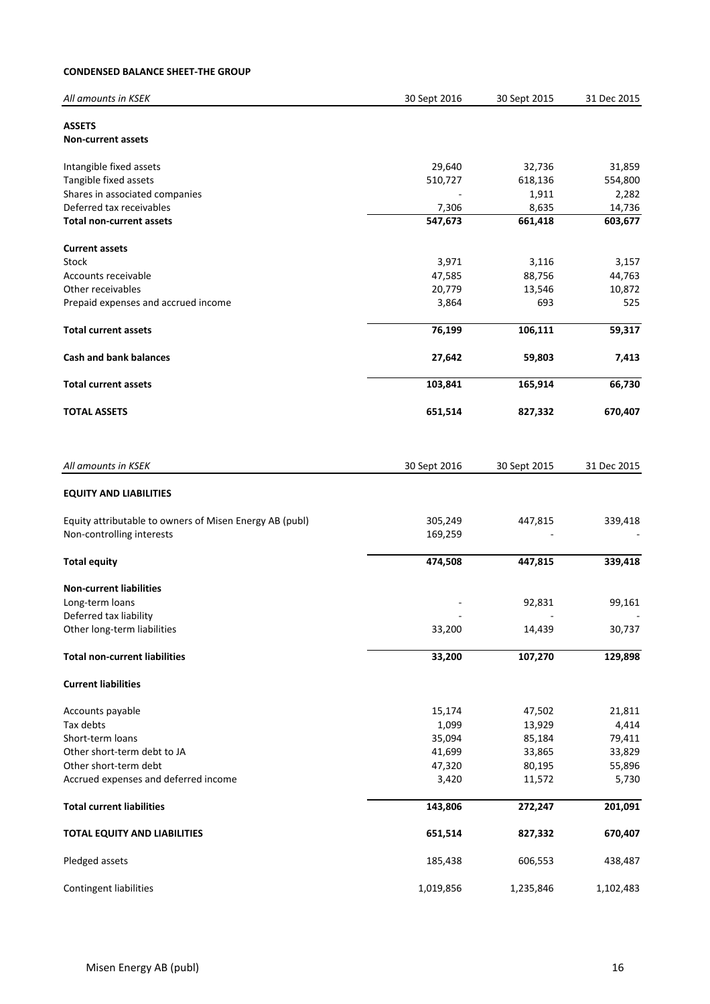### **CONDENSED BALANCE SHEET-THE GROUP**

| All amounts in KSEK                                     | 30 Sept 2016 | 30 Sept 2015 | 31 Dec 2015 |
|---------------------------------------------------------|--------------|--------------|-------------|
| <b>ASSETS</b>                                           |              |              |             |
| <b>Non-current assets</b>                               |              |              |             |
| Intangible fixed assets                                 | 29,640       | 32,736       | 31,859      |
| Tangible fixed assets                                   | 510,727      | 618,136      | 554,800     |
| Shares in associated companies                          |              | 1,911        | 2,282       |
| Deferred tax receivables                                | 7,306        | 8,635        | 14,736      |
| <b>Total non-current assets</b>                         | 547,673      | 661,418      | 603,677     |
| <b>Current assets</b>                                   |              |              |             |
| Stock                                                   | 3,971        | 3,116        | 3,157       |
| Accounts receivable                                     | 47,585       | 88,756       | 44,763      |
| Other receivables                                       | 20,779       | 13,546       | 10,872      |
| Prepaid expenses and accrued income                     | 3,864        | 693          | 525         |
| <b>Total current assets</b>                             | 76,199       | 106,111      | 59,317      |
| <b>Cash and bank balances</b>                           | 27,642       | 59,803       | 7,413       |
| <b>Total current assets</b>                             | 103,841      | 165,914      | 66,730      |
| <b>TOTAL ASSETS</b>                                     | 651,514      | 827,332      | 670,407     |
|                                                         |              |              |             |
| All amounts in KSEK                                     | 30 Sept 2016 | 30 Sept 2015 | 31 Dec 2015 |
| <b>EQUITY AND LIABILITIES</b>                           |              |              |             |
| Equity attributable to owners of Misen Energy AB (publ) | 305,249      | 447,815      | 339,418     |
| Non-controlling interests                               | 169,259      |              |             |
| <b>Total equity</b>                                     | 474,508      | 447,815      | 339,418     |
| <b>Non-current liabilities</b>                          |              |              |             |
| Long-term loans                                         |              | 92,831       | 99,161      |
| Deferred tax liability                                  |              |              |             |
| Other long-term liabilities                             | 33,200       | 14,439       | 30,737      |
| <b>Total non-current liabilities</b>                    | 33,200       | 107,270      | 129,898     |
| <b>Current liabilities</b>                              |              |              |             |
| Accounts payable                                        | 15,174       | 47,502       | 21,811      |
| Tax debts                                               | 1,099        | 13,929       | 4,414       |
| Short-term loans                                        | 35,094       | 85,184       | 79,411      |
| Other short-term debt to JA                             | 41,699       | 33,865       | 33,829      |
| Other short-term debt                                   | 47,320       | 80,195       | 55,896      |
| Accrued expenses and deferred income                    | 3,420        | 11,572       | 5,730       |
| <b>Total current liabilities</b>                        | 143,806      | 272,247      | 201,091     |
| TOTAL EQUITY AND LIABILITIES                            | 651,514      | 827,332      | 670,407     |
| Pledged assets                                          | 185,438      | 606,553      | 438,487     |
| Contingent liabilities                                  | 1,019,856    | 1,235,846    | 1,102,483   |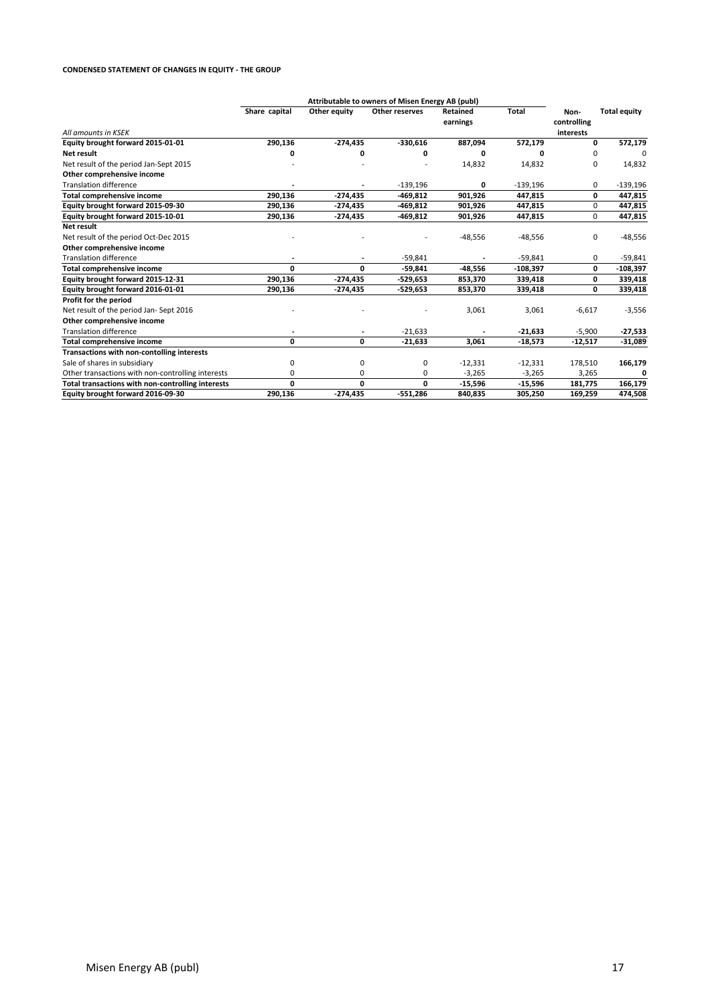#### **CONDENSED STATEMENT OF CHANGES IN EQUITY - THE GROUP**

|                                                   | Attributable to owners of Misen Energy AB (publ) |                |                |                      |            |                                  |                     |
|---------------------------------------------------|--------------------------------------------------|----------------|----------------|----------------------|------------|----------------------------------|---------------------|
| All amounts in KSEK                               | Share capital                                    | Other equity   | Other reserves | Retained<br>earnings | Total      | Non-<br>controlling<br>interests | <b>Total equity</b> |
| Equity brought forward 2015-01-01                 | 290,136                                          | $-274,435$     | $-330,616$     | 887,094              | 572,179    | 0                                | 572,179             |
| Net result                                        | 0                                                | 0              | 0              | 0                    | 0          | 0                                | 0                   |
| Net result of the period Jan-Sept 2015            |                                                  |                |                | 14,832               | 14,832     | 0                                | 14,832              |
| Other comprehensive income                        |                                                  |                |                |                      |            |                                  |                     |
| <b>Translation difference</b>                     |                                                  |                | $-139,196$     | 0                    | $-139,196$ | 0                                | $-139,196$          |
| Total comprehensive income                        | 290,136                                          | $-274,435$     | $-469,812$     | 901,926              | 447,815    | 0                                | 447,815             |
| Equity brought forward 2015-09-30                 | 290,136                                          | $-274,435$     | -469,812       | 901,926              | 447,815    | 0                                | 447,815             |
| Equity brought forward 2015-10-01                 | 290,136                                          | $-274,435$     | -469,812       | 901,926              | 447,815    | 0                                | 447,815             |
| Net result                                        |                                                  |                |                |                      |            |                                  |                     |
| Net result of the period Oct-Dec 2015             |                                                  |                |                | $-48,556$            | $-48,556$  | 0                                | $-48,556$           |
| Other comprehensive income                        |                                                  |                |                |                      |            |                                  |                     |
| <b>Translation difference</b>                     |                                                  |                | $-59,841$      |                      | $-59,841$  | 0                                | $-59,841$           |
| Total comprehensive income                        | O                                                | 0              | $-59,841$      | $-48,556$            | $-108,397$ | 0                                | $-108,397$          |
| Equity brought forward 2015-12-31                 | 290,136                                          | $-274,435$     | $-529,653$     | 853,370              | 339,418    | 0                                | 339,418             |
| Equity brought forward 2016-01-01                 | 290,136                                          | $-274,435$     | $-529,653$     | 853,370              | 339,418    | 0                                | 339,418             |
| Profit for the period                             |                                                  |                |                |                      |            |                                  |                     |
| Net result of the period Jan- Sept 2016           |                                                  |                |                | 3,061                | 3,061      | $-6,617$                         | $-3,556$            |
| Other comprehensive income                        |                                                  |                |                |                      |            |                                  |                     |
| <b>Translation difference</b>                     |                                                  | $\overline{a}$ | $-21,633$      |                      | $-21,633$  | $-5,900$                         | -27,533             |
| Total comprehensive income                        | 0                                                | 0              | $-21,633$      | 3,061                | $-18,573$  | $-12,517$                        | $-31,089$           |
| Transactions with non-contolling interests        |                                                  |                |                |                      |            |                                  |                     |
| Sale of shares in subsidiary                      | 0                                                | 0              | 0              | $-12,331$            | $-12,331$  | 178,510                          | 166,179             |
| Other transactions with non-controlling interests | 0                                                | 0              | 0              | $-3,265$             | $-3,265$   | 3,265                            | 0                   |
| Total transactions with non-controlling interests | 0                                                | $\mathbf{0}$   | 0              | $-15,596$            | $-15,596$  | 181,775                          | 166,179             |
| Equity brought forward 2016-09-30                 | 290,136                                          | $-274,435$     | $-551,286$     | 840.835              | 305,250    | 169,259                          | 474,508             |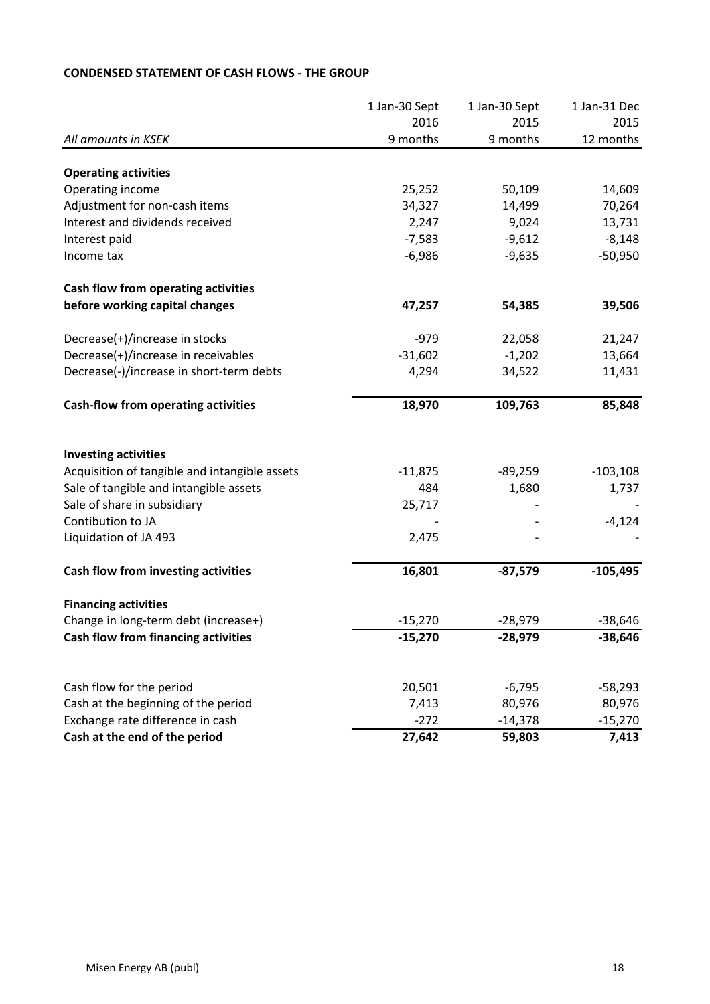|                                               | 1 Jan-30 Sept | 1 Jan-30 Sept | 1 Jan-31 Dec |
|-----------------------------------------------|---------------|---------------|--------------|
|                                               | 2016          | 2015          | 2015         |
| All amounts in KSEK                           | 9 months      | 9 months      | 12 months    |
| <b>Operating activities</b>                   |               |               |              |
| Operating income                              | 25,252        | 50,109        | 14,609       |
| Adjustment for non-cash items                 | 34,327        | 14,499        | 70,264       |
| Interest and dividends received               | 2,247         | 9,024         | 13,731       |
| Interest paid                                 | $-7,583$      | $-9,612$      | $-8,148$     |
| Income tax                                    | $-6,986$      | $-9,635$      | $-50,950$    |
| Cash flow from operating activities           |               |               |              |
| before working capital changes                | 47,257        | 54,385        | 39,506       |
| Decrease(+)/increase in stocks                | $-979$        | 22,058        | 21,247       |
| Decrease(+)/increase in receivables           | $-31,602$     | $-1,202$      | 13,664       |
| Decrease(-)/increase in short-term debts      | 4,294         | 34,522        | 11,431       |
| <b>Cash-flow from operating activities</b>    | 18,970        | 109,763       | 85,848       |
| <b>Investing activities</b>                   |               |               |              |
| Acquisition of tangible and intangible assets | $-11,875$     | $-89,259$     | $-103,108$   |
| Sale of tangible and intangible assets        | 484           | 1,680         | 1,737        |
| Sale of share in subsidiary                   | 25,717        |               |              |
| Contibution to JA                             |               |               | $-4,124$     |
| Liquidation of JA 493                         | 2,475         |               |              |
| Cash flow from investing activities           | 16,801        | $-87,579$     | $-105,495$   |
| <b>Financing activities</b>                   |               |               |              |
| Change in long-term debt (increase+)          | $-15,270$     | $-28,979$     | $-38,646$    |
| Cash flow from financing activities           | -15,270       | -28,979       | -38,646      |
|                                               |               |               |              |
| Cash flow for the period                      | 20,501        | $-6,795$      | $-58,293$    |
| Cash at the beginning of the period           | 7,413         | 80,976        | 80,976       |
| Exchange rate difference in cash              | $-272$        | $-14,378$     | $-15,270$    |
| Cash at the end of the period                 | 27,642        | 59,803        | 7,413        |

# **CONDENSED STATEMENT OF CASH FLOWS - THE GROUP**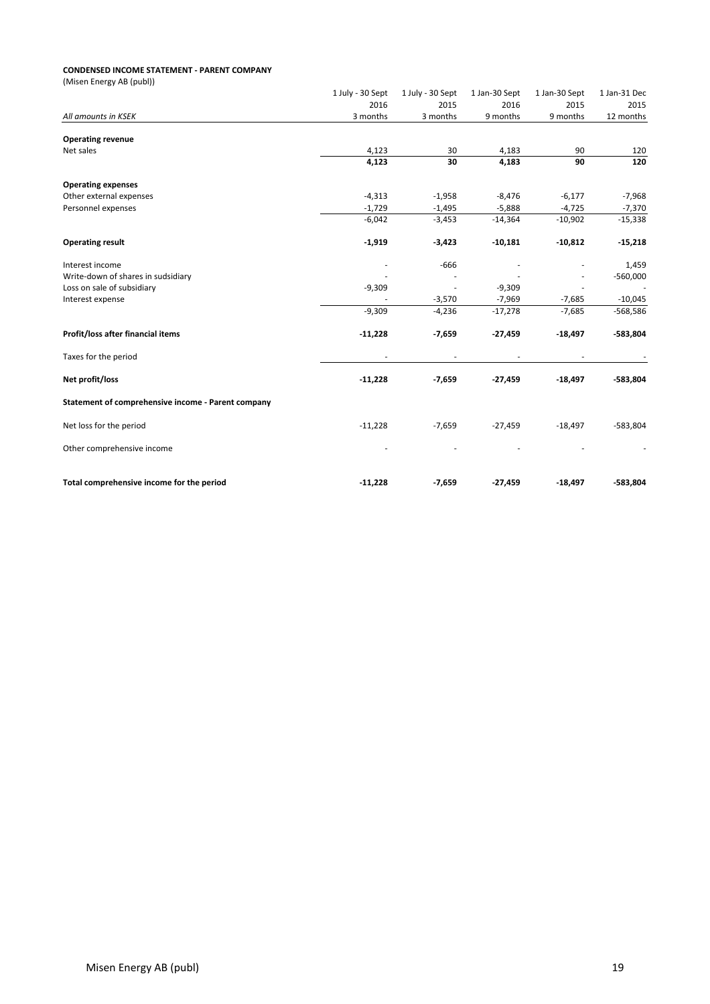#### **CONDENSED INCOME STATEMENT - PARENT COMPANY**

| (Misen Energy AB (publ))                           |                          |                          |                          |               |              |
|----------------------------------------------------|--------------------------|--------------------------|--------------------------|---------------|--------------|
|                                                    | 1 July - 30 Sept         | 1 July - 30 Sept         | 1 Jan-30 Sept            | 1 Jan-30 Sept | 1 Jan-31 Dec |
|                                                    | 2016                     | 2015                     | 2016                     | 2015          | 2015         |
| All amounts in KSEK                                | 3 months                 | 3 months                 | 9 months                 | 9 months      | 12 months    |
| <b>Operating revenue</b>                           |                          |                          |                          |               |              |
| Net sales                                          | 4,123                    | 30                       | 4,183                    | 90            | 120          |
|                                                    | 4,123                    | 30                       | 4,183                    | 90            | 120          |
| <b>Operating expenses</b>                          |                          |                          |                          |               |              |
| Other external expenses                            | $-4,313$                 | $-1,958$                 | $-8,476$                 | $-6,177$      | $-7,968$     |
| Personnel expenses                                 | $-1,729$                 | $-1,495$                 | $-5,888$                 | $-4,725$      | $-7,370$     |
|                                                    | $-6,042$                 | $-3,453$                 | $-14,364$                | $-10,902$     | $-15,338$    |
| <b>Operating result</b>                            | $-1,919$                 | $-3,423$                 | $-10,181$                | $-10,812$     | $-15,218$    |
| Interest income                                    |                          | $-666$                   |                          |               | 1,459        |
| Write-down of shares in sudsidiary                 |                          |                          |                          |               | $-560,000$   |
| Loss on sale of subsidiary                         | $-9,309$                 | $\overline{a}$           | $-9,309$                 |               |              |
| Interest expense                                   |                          | $-3,570$                 | $-7,969$                 | $-7,685$      | $-10,045$    |
|                                                    | $-9,309$                 | $-4,236$                 | $-17,278$                | $-7,685$      | $-568,586$   |
| Profit/loss after financial items                  | $-11,228$                | $-7,659$                 | $-27,459$                | $-18,497$     | $-583,804$   |
| Taxes for the period                               | $\overline{\phantom{a}}$ | $\overline{\phantom{a}}$ | $\overline{\phantom{a}}$ |               |              |
| Net profit/loss                                    | $-11,228$                | $-7,659$                 | $-27,459$                | $-18,497$     | $-583,804$   |
| Statement of comprehensive income - Parent company |                          |                          |                          |               |              |
| Net loss for the period                            | $-11,228$                | $-7,659$                 | $-27,459$                | $-18,497$     | $-583,804$   |
| Other comprehensive income                         |                          |                          |                          |               |              |
| Total comprehensive income for the period          | $-11,228$                | $-7,659$                 | $-27,459$                | $-18,497$     | $-583,804$   |
|                                                    |                          |                          |                          |               |              |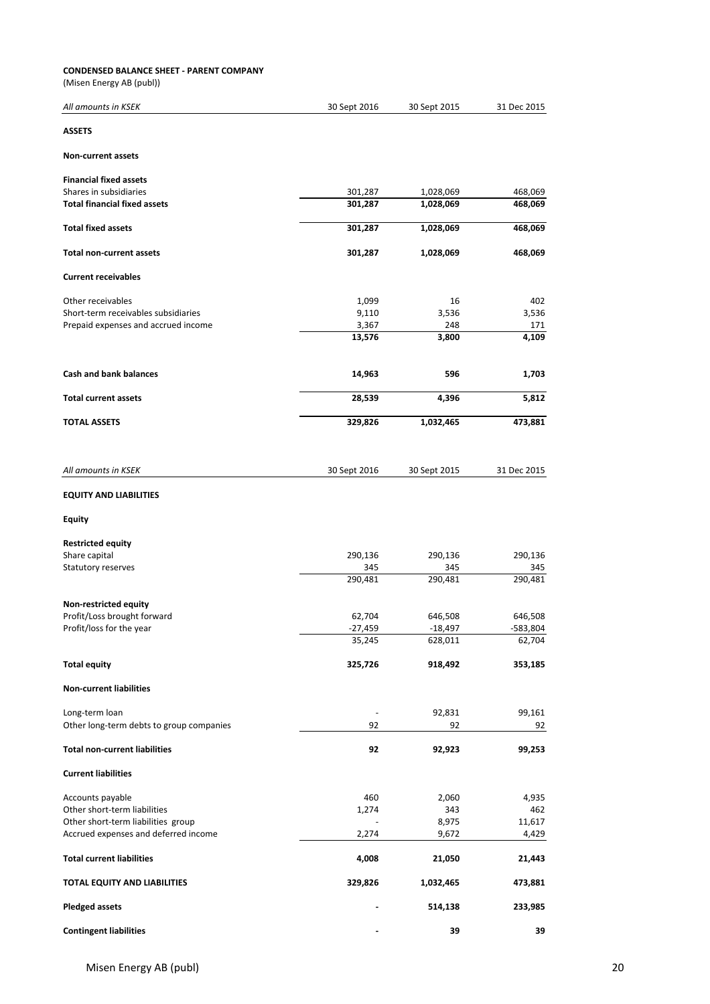#### **CONDENSED BALANCE SHEET - PARENT COMPANY**

(Misen Energy AB (publ))

| All amounts in KSEK                      | 30 Sept 2016 | 30 Sept 2015 | 31 Dec 2015 |
|------------------------------------------|--------------|--------------|-------------|
| <b>ASSETS</b>                            |              |              |             |
| <b>Non-current assets</b>                |              |              |             |
| <b>Financial fixed assets</b>            |              |              |             |
| Shares in subsidiaries                   | 301,287      | 1,028,069    | 468,069     |
| <b>Total financial fixed assets</b>      | 301,287      | 1,028,069    | 468,069     |
| <b>Total fixed assets</b>                | 301,287      | 1,028,069    | 468,069     |
| <b>Total non-current assets</b>          | 301,287      | 1,028,069    | 468,069     |
| <b>Current receivables</b>               |              |              |             |
| Other receivables                        | 1,099        | 16           | 402         |
| Short-term receivables subsidiaries      | 9,110        | 3,536        | 3,536       |
| Prepaid expenses and accrued income      | 3,367        | 248          | 171         |
|                                          | 13,576       | 3,800        | 4,109       |
| <b>Cash and bank balances</b>            | 14,963       | 596          | 1,703       |
| <b>Total current assets</b>              | 28,539       | 4,396        | 5,812       |
| <b>TOTAL ASSETS</b>                      | 329,826      | 1,032,465    | 473,881     |
|                                          |              |              |             |
| All amounts in KSEK                      | 30 Sept 2016 | 30 Sept 2015 | 31 Dec 2015 |
| <b>EQUITY AND LIABILITIES</b>            |              |              |             |
| <b>Equity</b>                            |              |              |             |
| <b>Restricted equity</b>                 |              |              |             |
| Share capital                            | 290,136      | 290,136      | 290,136     |
| Statutory reserves                       | 345          | 345          | 345         |
|                                          | 290,481      | 290,481      | 290,481     |
| Non-restricted equity                    |              |              |             |
| Profit/Loss brought forward              | 62,704       | 646,508      | 646,508     |
| Profit/loss for the year                 | -27,459      | $-18,497$    | -583,804    |
|                                          | 35,245       | 628,011      | 62,704      |
| <b>Total equity</b>                      | 325,726      | 918,492      | 353,185     |
| <b>Non-current liabilities</b>           |              |              |             |
| Long-term loan                           |              | 92,831       | 99,161      |
| Other long-term debts to group companies | 92           | 92           | 92          |
| <b>Total non-current liabilities</b>     | 92           | 92,923       | 99,253      |
| <b>Current liabilities</b>               |              |              |             |
| Accounts payable                         | 460          | 2,060        | 4,935       |
| Other short-term liabilities             | 1,274        | 343          | 462         |
| Other short-term liabilities group       |              | 8,975        | 11,617      |
| Accrued expenses and deferred income     | 2,274        | 9,672        | 4,429       |
| <b>Total current liabilities</b>         | 4,008        | 21,050       | 21,443      |
| TOTAL EQUITY AND LIABILITIES             | 329,826      | 1,032,465    | 473,881     |
| <b>Pledged assets</b>                    |              | 514,138      | 233,985     |
| <b>Contingent liabilities</b>            |              | 39           | 39          |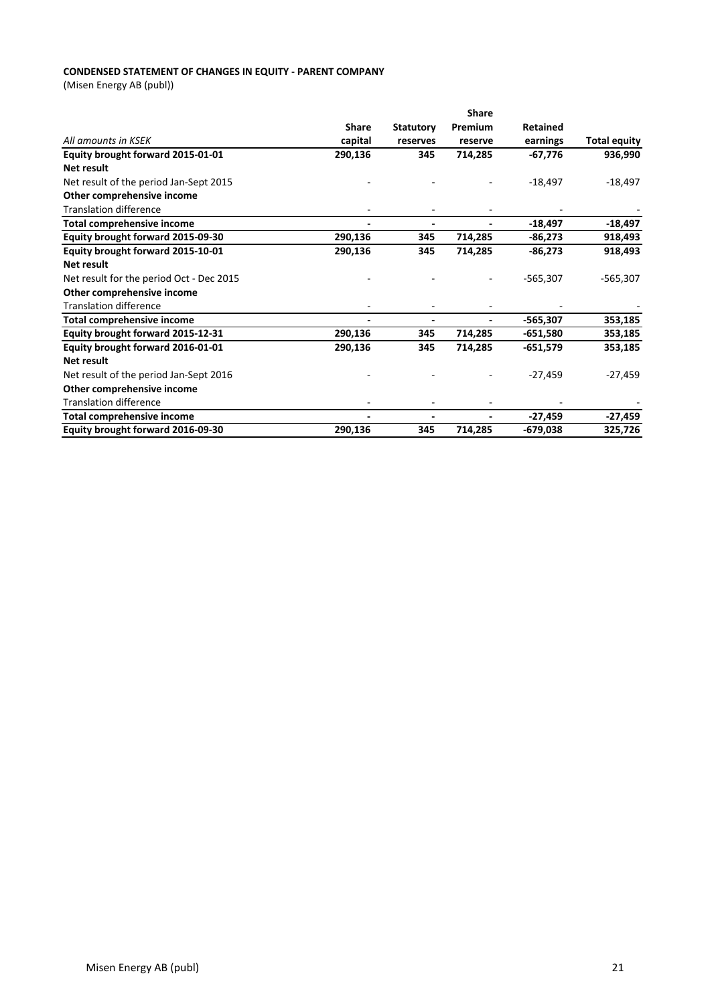### **CONDENSED STATEMENT OF CHANGES IN EQUITY - PARENT COMPANY**

(Misen Energy AB (publ))

|                                          | <b>Share</b>             |                  |         |                 |                     |  |
|------------------------------------------|--------------------------|------------------|---------|-----------------|---------------------|--|
|                                          | <b>Share</b>             | <b>Statutory</b> | Premium | <b>Retained</b> |                     |  |
| All amounts in KSEK                      | capital                  | reserves         | reserve | earnings        | <b>Total equity</b> |  |
| Equity brought forward 2015-01-01        | 290,136                  | 345              | 714,285 | $-67,776$       | 936,990             |  |
| Net result                               |                          |                  |         |                 |                     |  |
| Net result of the period Jan-Sept 2015   |                          |                  |         | $-18,497$       | $-18,497$           |  |
| Other comprehensive income               |                          |                  |         |                 |                     |  |
| <b>Translation difference</b>            |                          |                  |         |                 |                     |  |
| <b>Total comprehensive income</b>        | $\overline{\phantom{a}}$ |                  |         | $-18,497$       | $-18,497$           |  |
| Equity brought forward 2015-09-30        | 290,136                  | 345              | 714,285 | $-86,273$       | 918,493             |  |
| Equity brought forward 2015-10-01        | 290,136                  | 345              | 714,285 | $-86,273$       | 918,493             |  |
| Net result                               |                          |                  |         |                 |                     |  |
| Net result for the period Oct - Dec 2015 |                          |                  |         | $-565,307$      | $-565,307$          |  |
| Other comprehensive income               |                          |                  |         |                 |                     |  |
| <b>Translation difference</b>            |                          |                  |         |                 |                     |  |
| <b>Total comprehensive income</b>        | $\overline{\phantom{a}}$ |                  |         | $-565,307$      | 353,185             |  |
| Equity brought forward 2015-12-31        | 290,136                  | 345              | 714,285 | $-651,580$      | 353,185             |  |
| Equity brought forward 2016-01-01        | 290,136                  | 345              | 714,285 | $-651,579$      | 353,185             |  |
| <b>Net result</b>                        |                          |                  |         |                 |                     |  |
| Net result of the period Jan-Sept 2016   |                          |                  |         | $-27,459$       | $-27,459$           |  |
| Other comprehensive income               |                          |                  |         |                 |                     |  |
| <b>Translation difference</b>            |                          |                  |         |                 |                     |  |
| <b>Total comprehensive income</b>        | $\overline{\phantom{a}}$ |                  |         | $-27,459$       | $-27,459$           |  |
| Equity brought forward 2016-09-30        | 290,136                  | 345              | 714,285 | $-679,038$      | 325,726             |  |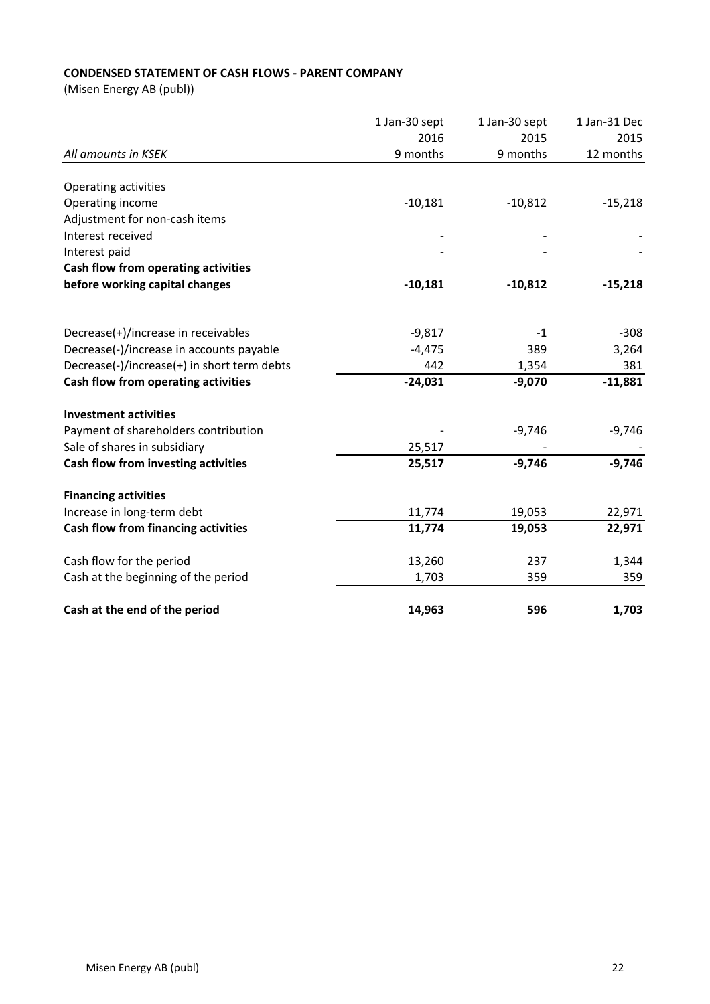# **CONDENSED STATEMENT OF CASH FLOWS - PARENT COMPANY**

(Misen Energy AB (publ))

|                                             | 1 Jan-30 sept | 1 Jan-30 sept | 1 Jan-31 Dec |
|---------------------------------------------|---------------|---------------|--------------|
|                                             | 2016          | 2015          | 2015         |
| All amounts in KSEK                         | 9 months      | 9 months      | 12 months    |
|                                             |               |               |              |
| <b>Operating activities</b>                 |               |               |              |
| Operating income                            | $-10,181$     | $-10,812$     | $-15,218$    |
| Adjustment for non-cash items               |               |               |              |
| Interest received                           |               |               |              |
| Interest paid                               |               |               |              |
| Cash flow from operating activities         |               |               |              |
| before working capital changes              | $-10,181$     | $-10,812$     | $-15,218$    |
| Decrease(+)/increase in receivables         | $-9,817$      | $-1$          | $-308$       |
| Decrease(-)/increase in accounts payable    | $-4,475$      | 389           | 3,264        |
| Decrease(-)/increase(+) in short term debts | 442           | 1,354         | 381          |
| Cash flow from operating activities         | $-24,031$     | $-9,070$      | $-11,881$    |
|                                             |               |               |              |
| <b>Investment activities</b>                |               |               |              |
| Payment of shareholders contribution        |               | $-9,746$      | $-9,746$     |
| Sale of shares in subsidiary                | 25,517        |               |              |
| Cash flow from investing activities         | 25,517        | $-9,746$      | $-9,746$     |
| <b>Financing activities</b>                 |               |               |              |
| Increase in long-term debt                  | 11,774        | 19,053        | 22,971       |
| Cash flow from financing activities         | 11,774        | 19,053        | 22,971       |
| Cash flow for the period                    | 13,260        | 237           | 1,344        |
| Cash at the beginning of the period         | 1,703         | 359           | 359          |
| Cash at the end of the period               | 14,963        | 596           | 1,703        |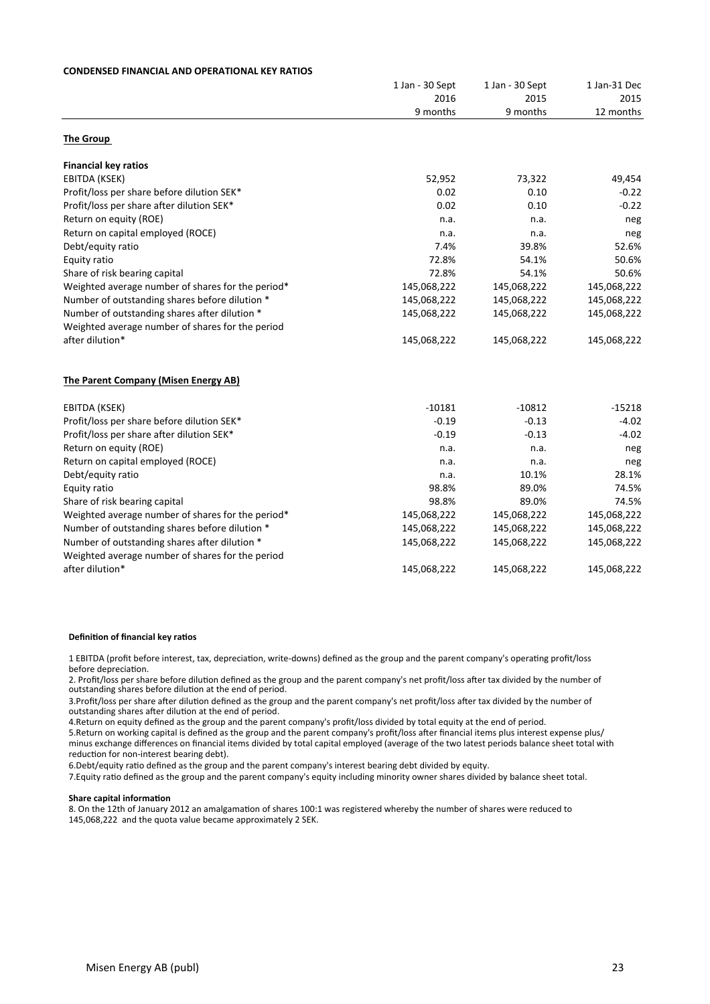| <b>CONDENSED FINANCIAL AND OPERATIONAL KEY RATIOS</b> |                 |                                     |                                   |  |  |  |
|-------------------------------------------------------|-----------------|-------------------------------------|-----------------------------------|--|--|--|
|                                                       | 1 Jan - 30 Sept | 1 Jan - 30 Sept<br>2015<br>9 months | 1 Jan-31 Dec<br>2015<br>12 months |  |  |  |
|                                                       | 2016            |                                     |                                   |  |  |  |
|                                                       | 9 months        |                                     |                                   |  |  |  |
| <b>The Group</b>                                      |                 |                                     |                                   |  |  |  |
| <b>Financial key ratios</b>                           |                 |                                     |                                   |  |  |  |
| EBITDA (KSEK)                                         | 52,952          | 73,322                              | 49,454                            |  |  |  |
| Profit/loss per share before dilution SEK*            | 0.02            | 0.10                                | $-0.22$                           |  |  |  |
| Profit/loss per share after dilution SEK*             | 0.02            | 0.10                                | $-0.22$                           |  |  |  |
| Return on equity (ROE)                                | n.a.            | n.a.                                | neg                               |  |  |  |
| Return on capital employed (ROCE)                     | n.a.            | n.a.                                | neg                               |  |  |  |
| Debt/equity ratio                                     | 7.4%            | 39.8%                               | 52.6%                             |  |  |  |
| Equity ratio                                          | 72.8%           | 54.1%                               | 50.6%                             |  |  |  |
| Share of risk bearing capital                         | 72.8%           | 54.1%                               | 50.6%                             |  |  |  |
| Weighted average number of shares for the period*     | 145,068,222     | 145,068,222                         | 145,068,222                       |  |  |  |
| Number of outstanding shares before dilution *        | 145,068,222     | 145,068,222                         | 145,068,222                       |  |  |  |
| Number of outstanding shares after dilution *         | 145,068,222     | 145,068,222                         | 145,068,222                       |  |  |  |
| Weighted average number of shares for the period      |                 |                                     |                                   |  |  |  |
| after dilution*                                       | 145,068,222     | 145,068,222                         | 145,068,222                       |  |  |  |
| The Parent Company (Misen Energy AB)                  |                 |                                     |                                   |  |  |  |
| EBITDA (KSEK)                                         | $-10181$        | $-10812$                            | $-15218$                          |  |  |  |
| Profit/loss per share before dilution SEK*            | $-0.19$         | $-0.13$                             | $-4.02$                           |  |  |  |
| Profit/loss per share after dilution SEK*             | $-0.19$         | $-0.13$                             | $-4.02$                           |  |  |  |
| Return on equity (ROE)                                | n.a.            | n.a.                                | neg                               |  |  |  |
| Return on capital employed (ROCE)                     | n.a.            | n.a.                                | neg                               |  |  |  |
| Debt/equity ratio                                     | n.a.            | 10.1%                               | 28.1%                             |  |  |  |
| Equity ratio                                          | 98.8%           | 89.0%                               | 74.5%                             |  |  |  |
| Share of risk bearing capital                         | 98.8%           | 89.0%                               | 74.5%                             |  |  |  |
| Weighted average number of shares for the period*     | 145,068,222     | 145,068,222                         | 145,068,222                       |  |  |  |
| Number of outstanding shares before dilution *        | 145,068,222     | 145,068,222                         | 145,068,222                       |  |  |  |
| Number of outstanding shares after dilution *         | 145,068,222     | 145,068,222                         | 145,068,222                       |  |  |  |
| Weighted average number of shares for the period      |                 |                                     |                                   |  |  |  |
| after dilution*                                       | 145,068,222     | 145,068,222                         | 145,068,222                       |  |  |  |

#### **Definition of financial key ratios**

**DEFINITY (POINT DEFINITY INTERFATION** 1 EBITDA (profit before interest, tax, depreciation, write-downs) defined as the group and the parent company's operating profit/loss

2. Profit/loss per share before dilution defined as the group and the parent company's net profit/loss after tax divided by the number of outstanding shares before dilution at the end of period.

3.Profit/loss per share after dilution defined as the group and the parent company's net profit/loss after tax divided by the number of outstanding shares after dilution at the end of period.

4. Return on equity defined as the group and the parent company's profit/loss divided by total equity at the end of period.

5. Return on working capital is defined as the group and the parent company's profit/loss after financial items plus interest expense plus/ minus exchange differences on financial items divided by total capital employed (average of the two latest periods balance sheet total with reduction for non-interest bearing debt).

6.Debt/equity ratio defined as the group and the parent company's interest bearing debt divided by equity.

Depredict allocated as the group and the parent company's interest beam group to the company of  $\mathbf{r}_1$ 7.Equity ratio defined as the group and the parent company's equity including minority owner shares divided by balance sheet total.

#### **Share capital information**

8. On the 12th of January 2012 an amalgamation of shares 100:1 was registered whereby the number of shares were reduced to 145,068,222 and the quota value became approximately 2 SEK.